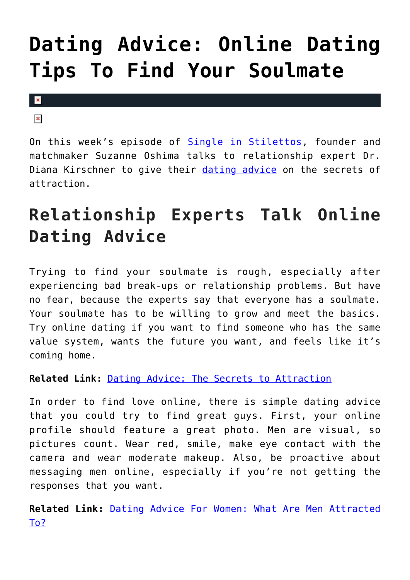# **[Dating Advice: Online Dating](https://cupidspulse.com/108991/dating-advice-online-dating-tips-find-your-soulmate/) [Tips To Find Your Soulmate](https://cupidspulse.com/108991/dating-advice-online-dating-tips-find-your-soulmate/)**

 $\vert \mathbf{x} \vert$ 

 $\pmb{\times}$ 

On this week's episode of **Single in Stilettos**, founder and matchmaker Suzanne Oshima talks to relationship expert Dr. Diana Kirschner to give their [dating advice](http://cupidspulse.com/dating/date-ideas/) on the secrets of attraction.

## **Relationship Experts Talk Online Dating Advice**

Trying to find your soulmate is rough, especially after experiencing bad break-ups or relationship problems. But have no fear, because the experts say that everyone has a soulmate. Your soulmate has to be willing to grow and meet the basics. Try online dating if you want to find someone who has the same value system, wants the future you want, and feels like it's coming home.

**Related Link:** [Dating Advice: The Secrets to Attraction](http://cupidspulse.com/108926/dating-advice-secrets-attraction/)

In order to find love online, there is simple dating advice that you could try to find great guys. First, your online profile should feature a great photo. Men are visual, so pictures count. Wear red, smile, make eye contact with the camera and wear moderate makeup. Also, be proactive about messaging men online, especially if you're not getting the responses that you want.

**Related Link:** [Dating Advice For Women: What Are Men Attracted](http://cupidspulse.com/108552/dating-advice-attracting-men/) [To?](http://cupidspulse.com/108552/dating-advice-attracting-men/)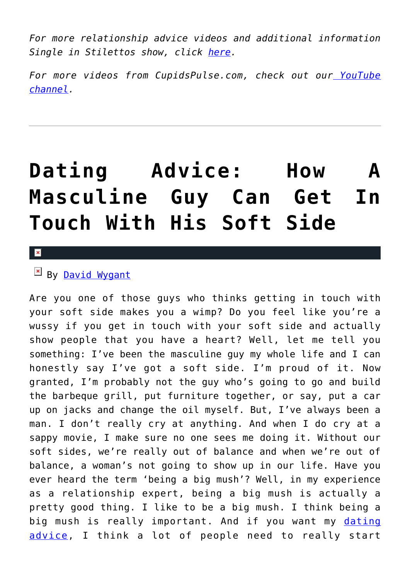*For more relationship advice videos and additional information Single in Stilettos show, click [here](http://cupidspulse.com/single-in-stilettos-shows/).*

*For more videos from CupidsPulse.com, check out our [YouTube](https://www.youtube.com/watch?v=3-5zn0Vbqk4) [channel](https://www.youtube.com/watch?v=3-5zn0Vbqk4).*

# **[Dating Advice: How A](https://cupidspulse.com/108968/dating-advice-masculinity-soft-side/) [Masculine Guy Can Get In](https://cupidspulse.com/108968/dating-advice-masculinity-soft-side/) [Touch With His Soft Side](https://cupidspulse.com/108968/dating-advice-masculinity-soft-side/)**

#### $\pmb{\times}$

#### $\mathbb{E}$  By [David Wygant](http://cupidspulse.com/relationship-dating-experts/david-wygant-dating-coach/)

Are you one of those guys who thinks getting in touch with your soft side makes you a wimp? Do you feel like you're a wussy if you get in touch with your soft side and actually show people that you have a heart? Well, let me tell you something: I've been the masculine guy my whole life and I can honestly say I've got a soft side. I'm proud of it. Now granted, I'm probably not the guy who's going to go and build the barbeque grill, put furniture together, or say, put a car up on jacks and change the oil myself. But, I've always been a man. I don't really cry at anything. And when I do cry at a sappy movie, I make sure no one sees me doing it. Without our soft sides, we're really out of balance and when we're out of balance, a woman's not going to show up in our life. Have you ever heard the term 'being a big mush'? Well, in my experience as a relationship expert, being a big mush is actually a pretty good thing. I like to be a big mush. I think being a big mush is really important. And if you want my [dating](http://cupidspulse.com/dating/date-ideas/) [advice,](http://cupidspulse.com/dating/date-ideas/) I think a lot of people need to really start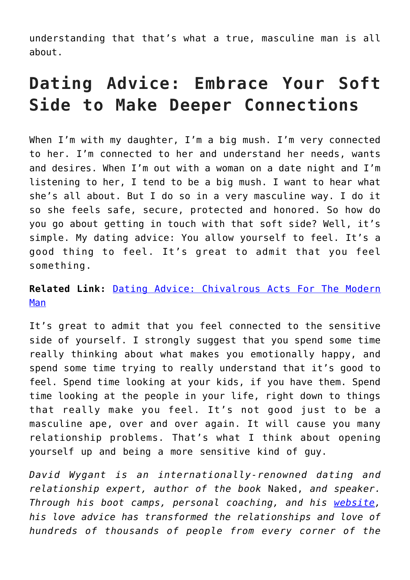understanding that that's what a true, masculine man is all about.

## **Dating Advice: Embrace Your Soft Side to Make Deeper Connections**

When I'm with my daughter, I'm a big mush. I'm very connected to her. I'm connected to her and understand her needs, wants and desires. When I'm out with a woman on a date night and I'm listening to her, I tend to be a big mush. I want to hear what she's all about. But I do so in a very masculine way. I do it so she feels safe, secure, protected and honored. So how do you go about getting in touch with that soft side? Well, it's simple. My dating advice: You allow yourself to feel. It's a good thing to feel. It's great to admit that you feel something.

**Related Link:** [Dating Advice: Chivalrous Acts For The Modern](http://cupidspulse.com/108139/dating-advice-chivalrous-acts/) [Man](http://cupidspulse.com/108139/dating-advice-chivalrous-acts/)

It's great to admit that you feel connected to the sensitive side of yourself. I strongly suggest that you spend some time really thinking about what makes you emotionally happy, and spend some time trying to really understand that it's good to feel. Spend time looking at your kids, if you have them. Spend time looking at the people in your life, right down to things that really make you feel. It's not good just to be a masculine ape, over and over again. It will cause you many relationship problems. That's what I think about opening yourself up and being a more sensitive kind of guy.

*David Wygant is an internationally-renowned dating and relationship expert, author of the book* Naked, *and speaker. Through his boot camps, personal coaching, and his [website,](http://www.davidwygant.com/) his love advice has transformed the relationships and love of hundreds of thousands of people from every corner of the*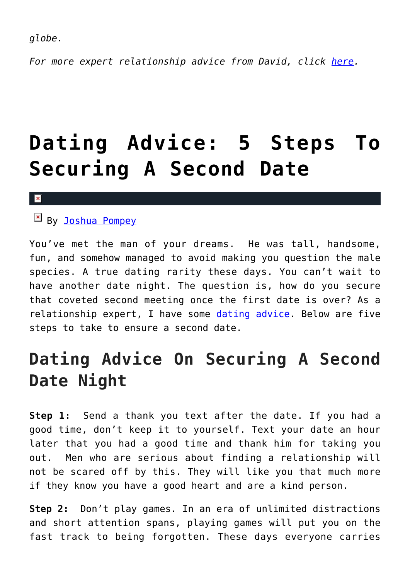#### *globe.*

*For more expert relationship advice from David, click [here.](http://cupidspulse.com/relationship-dating-experts/david-wygant-dating-coach/)* 

# **[Dating Advice: 5 Steps To](https://cupidspulse.com/108920/dating-advice-securing-second-date/) [Securing A Second Date](https://cupidspulse.com/108920/dating-advice-securing-second-date/)**

#### $\mathbf{x}$

By [Joshua Pompey](http://cupidspulse.com/relationship-dating-experts/joshua-pompey/)

You've met the man of your dreams. He was tall, handsome, fun, and somehow managed to avoid making you question the male species. A true dating rarity these days. You can't wait to have another date night. The question is, how do you secure that coveted second meeting once the first date is over? As a relationship expert, I have some [dating advice.](http://cupidspulse.com/dating/date-ideas/) Below are five steps to take to ensure a second date.

### **Dating Advice On Securing A Second Date Night**

**Step 1:** Send a thank you text after the date. If you had a good time, don't keep it to yourself. Text your date an hour later that you had a good time and thank him for taking you out. Men who are serious about finding a relationship will not be scared off by this. They will like you that much more if they know you have a good heart and are a kind person.

**Step 2:** Don't play games. In an era of unlimited distractions and short attention spans, playing games will put you on the fast track to being forgotten. These days everyone carries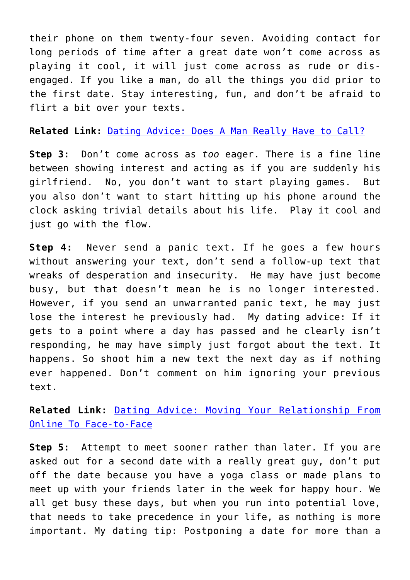their phone on them twenty-four seven. Avoiding contact for long periods of time after a great date won't come across as playing it cool, it will just come across as rude or disengaged. If you like a man, do all the things you did prior to the first date. Stay interesting, fun, and don't be afraid to flirt a bit over your texts.

**Related Link:** [Dating Advice: Does A Man Really Have to Call?](http://cupidspulse.com/107809/dating-advice-calling-after-dating/)

**Step 3:** Don't come across as *too* eager. There is a fine line between showing interest and acting as if you are suddenly his girlfriend. No, you don't want to start playing games. But you also don't want to start hitting up his phone around the clock asking trivial details about his life. Play it cool and just go with the flow.

**Step 4:** Never send a panic text. If he goes a few hours without answering your text, don't send a follow-up text that wreaks of desperation and insecurity. He may have just become busy, but that doesn't mean he is no longer interested. However, if you send an unwarranted panic text, he may just lose the interest he previously had. My dating advice: If it gets to a point where a day has passed and he clearly isn't responding, he may have simply just forgot about the text. It happens. So shoot him a new text the next day as if nothing ever happened. Don't comment on him ignoring your previous text.

**Related Link:** [Dating Advice: Moving Your Relationship From](http://cupidspulse.com/105412/dating-advice-joshua-pompey-online-relationships/) [Online To Face-to-Face](http://cupidspulse.com/105412/dating-advice-joshua-pompey-online-relationships/)

**Step 5:** Attempt to meet sooner rather than later. If you are asked out for a second date with a really great guy, don't put off the date because you have a yoga class or made plans to meet up with your friends later in the week for happy hour. We all get busy these days, but when you run into potential love, that needs to take precedence in your life, as nothing is more important. My dating tip: Postponing a date for more than a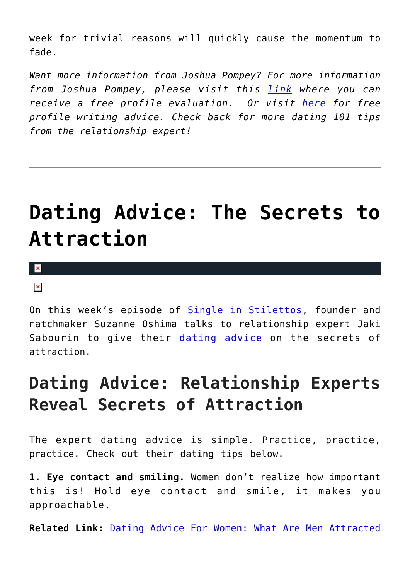week for trivial reasons will quickly cause the momentum to fade.

*Want more information from Joshua Pompey? For more information from Joshua Pompey, please visit this [link](http://jpompey.com/ladies/profile-writing-service) where you can receive a free profile evaluation. Or visit [here](http://www.nemvip.com/online-dating-profile-examples-for-women) for free profile writing advice. Check back for more dating 101 tips from the relationship expert!*

## **[Dating Advice: The Secrets to](https://cupidspulse.com/108926/dating-advice-secrets-attraction/) [Attraction](https://cupidspulse.com/108926/dating-advice-secrets-attraction/)**

 $\mathbf x$ 

 $\pmb{\times}$ 

On this week's episode of **Single in Stilettos**, founder and matchmaker Suzanne Oshima talks to relationship expert Jaki Sabourin to give their [dating advice](http://cupidspulse.com/dating/date-ideas/) on the secrets of attraction.

## **Dating Advice: Relationship Experts Reveal Secrets of Attraction**

The expert dating advice is simple. Practice, practice, practice. Check out their dating tips below.

**1. Eye contact and smiling.** Women don't realize how important this is! Hold eye contact and smile, it makes you approachable.

**Related Link:** [Dating Advice For Women: What Are Men Attracted](http://cupidspulse.com/108552/dating-advice-attracting-men/)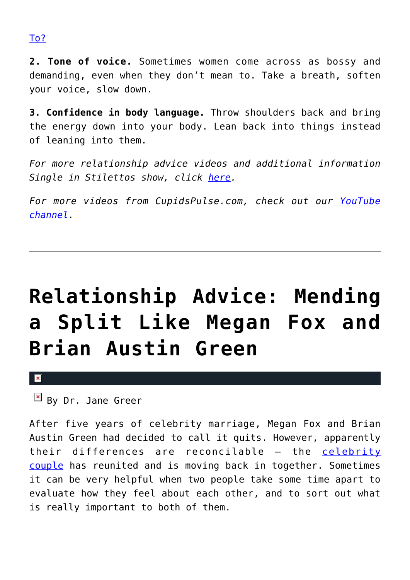**2. Tone of voice.** Sometimes women come across as bossy and demanding, even when they don't mean to. Take a breath, soften your voice, slow down.

**3. Confidence in body language.** Throw shoulders back and bring the energy down into your body. Lean back into things instead of leaning into them.

*For more relationship advice videos and additional information Single in Stilettos show, click [here](http://cupidspulse.com/single-in-stilettos-shows/).*

*For more videos from CupidsPulse.com, check out our [YouTube](https://www.youtube.com/watch?v=3-5zn0Vbqk4) [channel](https://www.youtube.com/watch?v=3-5zn0Vbqk4).*

# **[Relationship Advice: Mending](https://cupidspulse.com/108685/relationship-advice-mending-split-megan-fox-brian-austin-green/) [a Split Like Megan Fox and](https://cupidspulse.com/108685/relationship-advice-mending-split-megan-fox-brian-austin-green/) [Brian Austin Green](https://cupidspulse.com/108685/relationship-advice-mending-split-megan-fox-brian-austin-green/)**

 $\pmb{\times}$ 

 $By$  Dr. Jane Greer

After five years of celebrity marriage, Megan Fox and Brian Austin Green had decided to call it quits. However, apparently their differences are reconcilable – the [celebrity](http://cupidspulse.com/celebrity-relationships/long-term-relationships-flings/) [couple](http://cupidspulse.com/celebrity-relationships/long-term-relationships-flings/) has reunited and is moving back in together. Sometimes it can be very helpful when two people take some time apart to evaluate how they feel about each other, and to sort out what is really important to both of them.

#### [To?](http://cupidspulse.com/108552/dating-advice-attracting-men/)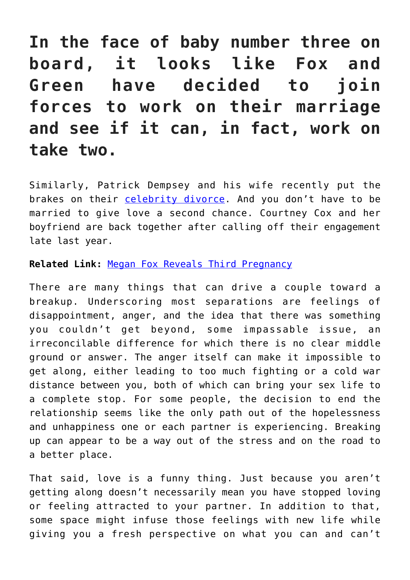**In the face of baby number three on board, it looks like Fox and Green have decided to join forces to work on their marriage and see if it can, in fact, work on take two.**

Similarly, Patrick Dempsey and his wife recently put the brakes on their [celebrity divorce.](http://cupidspulse.com/celebrity-relationships/break-up-divorce/) And you don't have to be married to give love a second chance. Courtney Cox and her boyfriend are back together after calling off their engagement late last year.

**Related Link:** [Megan Fox Reveals Third Pregnancy](http://cupidspulse.com/108092/celebrity-baby-news-megan-fox-reveals-third-pregnancy/)

There are many things that can drive a couple toward a breakup. Underscoring most separations are feelings of disappointment, anger, and the idea that there was something you couldn't get beyond, some impassable issue, an irreconcilable difference for which there is no clear middle ground or answer. The anger itself can make it impossible to get along, either leading to too much fighting or a cold war distance between you, both of which can bring your sex life to a complete stop. For some people, the decision to end the relationship seems like the only path out of the hopelessness and unhappiness one or each partner is experiencing. Breaking up can appear to be a way out of the stress and on the road to a better place.

That said, love is a funny thing. Just because you aren't getting along doesn't necessarily mean you have stopped loving or feeling attracted to your partner. In addition to that, some space might infuse those feelings with new life while giving you a fresh perspective on what you can and can't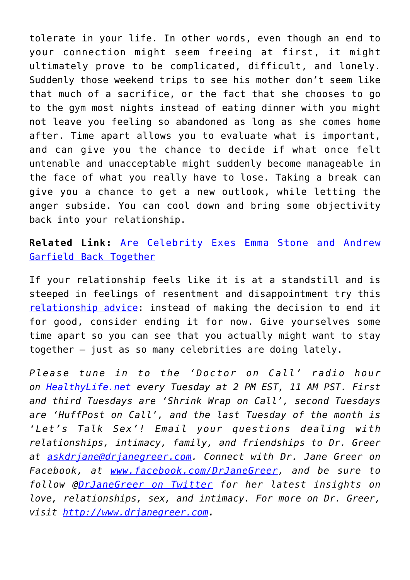tolerate in your life. In other words, even though an end to your connection might seem freeing at first, it might ultimately prove to be complicated, difficult, and lonely. Suddenly those weekend trips to see his mother don't seem like that much of a sacrifice, or the fact that she chooses to go to the gym most nights instead of eating dinner with you might not leave you feeling so abandoned as long as she comes home after. Time apart allows you to evaluate what is important, and can give you the chance to decide if what once felt untenable and unacceptable might suddenly become manageable in the face of what you really have to lose. Taking a break can give you a chance to get a new outlook, while letting the anger subside. You can cool down and bring some objectivity back into your relationship.

**Related Link:** [Are Celebrity Exes Emma Stone and Andrew](http://cupidspulse.com/93207/celebrity-exes-emma-stone-andrew-garfield-back-together/) [Garfield Back Together](http://cupidspulse.com/93207/celebrity-exes-emma-stone-andrew-garfield-back-together/)

If your relationship feels like it is at a standstill and is steeped in feelings of resentment and disappointment try this [relationship advice:](http://cupidspulse.com/relationship-experts/) instead of making the decision to end it for good, consider ending it for now. Give yourselves some time apart so you can see that you actually might want to stay together – just as so many celebrities are doing lately.

*Please tune in to the 'Doctor on Call' radio hour on [HealthyLife.net](http://www.healthylife.net/) every Tuesday at 2 PM EST, 11 AM PST. First and third Tuesdays are 'Shrink Wrap on Call', second Tuesdays are 'HuffPost on Call', and the last Tuesday of the month is 'Let's Talk Sex'! Email your questions dealing with relationships, intimacy, family, and friendships to Dr. Greer at [askdrjane@drjanegreer.com](mailto:askdrjane@drjanegreer.com). Connect with Dr. Jane Greer on Facebook, at [www.facebook.com/DrJaneGreer,](http://www.facebook.com/DrJaneGreer) and be sure to follow @[DrJaneGreer on Twitter](https://twitter.com/#!/DrJaneGreer) for her latest insights on love, relationships, sex, and intimacy. For more on Dr. Greer, visit<http://www.drjanegreer.com>.*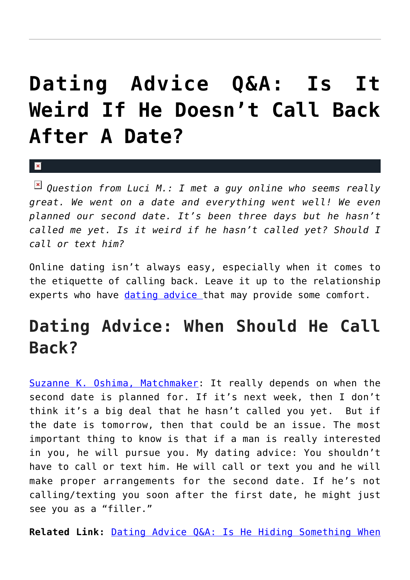## **[Dating Advice Q&A: Is It](https://cupidspulse.com/108622/dating-advice-qa-is-it-weird-if-he-doesnt-call-back-after-a-date/) [Weird If He Doesn't Call Back](https://cupidspulse.com/108622/dating-advice-qa-is-it-weird-if-he-doesnt-call-back-after-a-date/) [After A Date?](https://cupidspulse.com/108622/dating-advice-qa-is-it-weird-if-he-doesnt-call-back-after-a-date/)**

 $\mathbf x$ 

*Question from Luci M.: I met a guy online who seems really great. We went on a date and everything went well! We even planned our second date. It's been three days but he hasn't called me yet. Is it weird if he hasn't called yet? Should I call or text him?* 

Online dating isn't always easy, especially when it comes to the etiquette of calling back. Leave it up to the relationship experts who have [dating advice](http://cupidspulse.com/dating/date-ideas/) that may provide some comfort.

## **Dating Advice: When Should He Call Back?**

[Suzanne K. Oshima, Matchmaker](http://www.dreambachelor.com/): It really depends on when the second date is planned for. If it's next week, then I don't think it's a big deal that he hasn't called you yet. But if the date is tomorrow, then that could be an issue. The most important thing to know is that if a man is really interested in you, he will pursue you. My dating advice: You shouldn't have to call or text him. He will call or text you and he will make proper arrangements for the second date. If he's not calling/texting you soon after the first date, he might just see you as a "filler."

**Related Link:** [Dating Advice Q&A: Is He Hiding Something When](http://cupidspulse.com/107433/dating-advice-technology-phones/)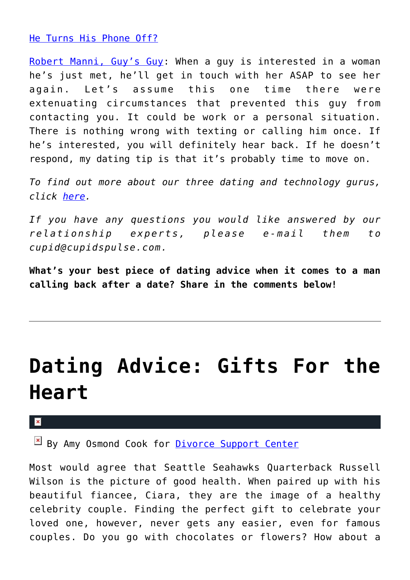[He Turns His Phone Off?](http://cupidspulse.com/107433/dating-advice-technology-phones/)

[Robert Manni, Guy's Guy:](http://www.robertmanni.com/) When a guy is interested in a woman he's just met, he'll get in touch with her ASAP to see her again. Let's assume this one time there were extenuating circumstances that prevented this guy from contacting you. It could be work or a personal situation. There is nothing wrong with texting or calling him once. If he's interested, you will definitely hear back. If he doesn't respond, my dating tip is that it's probably time to move on.

*To find out more about our three dating and technology gurus, click [here.](http://cupidspulse.com/relationship-dating-experts/oshima-wyatt-manni-technology-experts/)*

*If you have any questions you would like answered by our relationship experts, please e-mail them to cupid@cupidspulse.com.*

**What's your best piece of dating advice when it comes to a man calling back after a date? Share in the comments below!**

## **[Dating Advice: Gifts For the](https://cupidspulse.com/108605/dating-advice-gifts-heart-relationships/) [Heart](https://cupidspulse.com/108605/dating-advice-gifts-heart-relationships/)**

 $\mathbf x$ 

By Amy Osmond Cook for [Divorce Support Center](http://www.divorcesupportcenter.com/)

Most would agree that Seattle Seahawks Quarterback Russell Wilson is the picture of good health. When paired up with his beautiful fiancee, Ciara, they are the image of a healthy celebrity couple. Finding the perfect gift to celebrate your loved one, however, never gets any easier, even for famous couples. Do you go with chocolates or flowers? How about a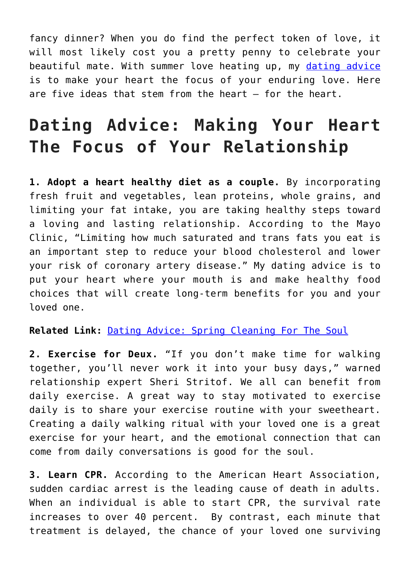fancy dinner? When you do find the perfect token of love, it will most likely cost you a pretty penny to celebrate your beautiful mate. With summer love heating up, my [dating advice](http://cupidspulse.com/dating/date-ideas/) is to make your heart the focus of your enduring love. Here are five ideas that stem from the heart — for the heart.

## **Dating Advice: Making Your Heart The Focus of Your Relationship**

**1. Adopt a heart healthy diet as a couple.** By incorporating fresh fruit and vegetables, lean proteins, whole grains, and limiting your fat intake, you are taking healthy steps toward a loving and lasting relationship. According to the Mayo Clinic, "Limiting how much saturated and trans fats you eat is an important step to reduce your blood cholesterol and lower your risk of coronary artery disease." My dating advice is to put your heart where your mouth is and make healthy food choices that will create long-term benefits for you and your loved one.

**Related Link:** [Dating Advice: Spring Cleaning For The Soul](http://cupidspulse.com/108354/dating-advice-spring-cleaning/)

**2. Exercise for Deux.** "If you don't make time for walking together, you'll never work it into your busy days," warned relationship expert Sheri Stritof. We all can benefit from daily exercise. A great way to stay motivated to exercise daily is to share your exercise routine with your sweetheart. Creating a daily walking ritual with your loved one is a great exercise for your heart, and the emotional connection that can come from daily conversations is good for the soul.

**3. Learn CPR.** According to the American Heart Association, sudden cardiac arrest is the leading cause of death in adults. When an individual is able to start CPR, the survival rate increases to over 40 percent. By contrast, each minute that treatment is delayed, the chance of your loved one surviving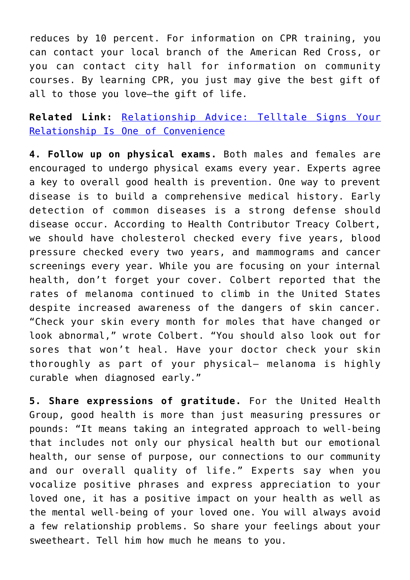reduces by 10 percent. For information on CPR training, you can contact your local branch of the American Red Cross, or you can contact city hall for information on community courses. By learning CPR, you just may give the best gift of all to those you love–the gift of life.

**Related Link:** [Relationship Advice: Telltale Signs Your](http://cupidspulse.com/107665/relationship-advice-convenient-relationship/) [Relationship Is One of Convenience](http://cupidspulse.com/107665/relationship-advice-convenient-relationship/)

**4. Follow up on physical exams.** Both males and females are encouraged to undergo physical exams every year. Experts agree a key to overall good health is prevention. One way to prevent disease is to build a comprehensive medical history. Early detection of common diseases is a strong defense should disease occur. According to Health Contributor Treacy Colbert, we should have cholesterol checked every five years, blood pressure checked every two years, and mammograms and cancer screenings every year. While you are focusing on your internal health, don't forget your cover. Colbert reported that the rates of melanoma continued to climb in the United States despite increased awareness of the dangers of skin cancer. "Check your skin every month for moles that have changed or look abnormal," wrote Colbert. "You should also look out for sores that won't heal. Have your doctor check your skin thoroughly as part of your physical— melanoma is highly curable when diagnosed early."

**5. Share expressions of gratitude.** For the United Health Group, good health is more than just measuring pressures or pounds: "It means taking an integrated approach to well-being that includes not only our physical health but our emotional health, our sense of purpose, our connections to our community and our overall quality of life." Experts say when you vocalize positive phrases and express appreciation to your loved one, it has a positive impact on your health as well as the mental well-being of your loved one. You will always avoid a few relationship problems. So share your feelings about your sweetheart. Tell him how much he means to you.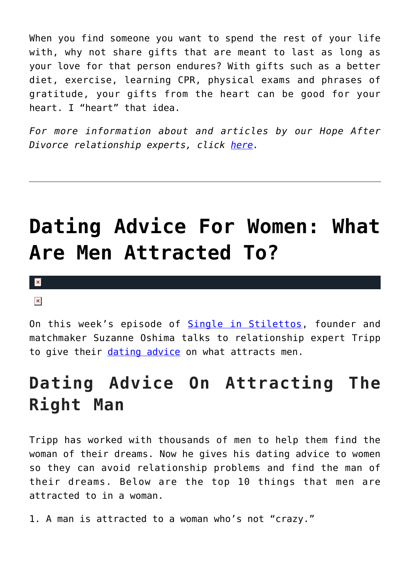When you find someone you want to spend the rest of your life with, why not share gifts that are meant to last as long as your love for that person endures? With gifts such as a better diet, exercise, learning CPR, physical exams and phrases of gratitude, your gifts from the heart can be good for your heart. I "heart" that idea.

*For more information about and articles by our Hope After Divorce relationship experts, click [here.](http://cupidspulse.com/relationship-dating-experts/hope-after-divorce-relationship-experts/)*

# **[Dating Advice For Women: What](https://cupidspulse.com/108552/dating-advice-attracting-men/) [Are Men Attracted To?](https://cupidspulse.com/108552/dating-advice-attracting-men/)**

 $\mathbf{x}$ 

#### $\pmb{\times}$

On this week's episode of **Single in Stilettos**, founder and matchmaker Suzanne Oshima talks to relationship expert Tripp to give their [dating advice](http://cupidspulse.com/dating/date-ideas/) on what attracts men.

### **Dating Advice On Attracting The Right Man**

Tripp has worked with thousands of men to help them find the woman of their dreams. Now he gives his dating advice to women so they can avoid relationship problems and find the man of their dreams. Below are the top 10 things that men are attracted to in a woman.

1. A man is attracted to a woman who's not "crazy."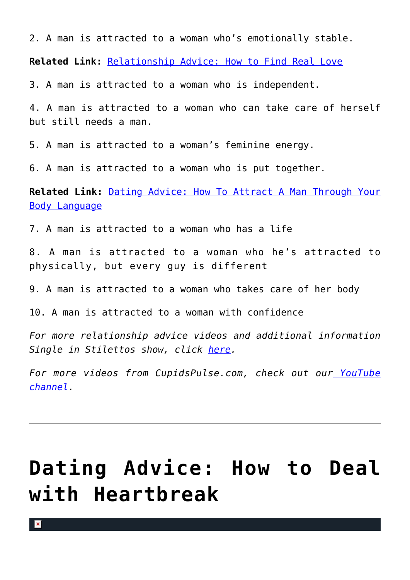2. A man is attracted to a woman who's emotionally stable.

**Related Link:** [Relationship Advice: How to Find Real Love](http://cupidspulse.com/108394/relationship-advice-find-real-love/)

3. A man is attracted to a woman who is independent.

4. A man is attracted to a woman who can take care of herself but still needs a man.

5. A man is attracted to a woman's feminine energy.

6. A man is attracted to a woman who is put together.

**Related Link:** [Dating Advice: How To Attract A Man Through Your](http://cupidspulse.com/108201/dating-advice-single-in-stilettos-body-language/) [Body Language](http://cupidspulse.com/108201/dating-advice-single-in-stilettos-body-language/)

7. A man is attracted to a woman who has a life

8. A man is attracted to a woman who he's attracted to physically, but every guy is different

9. A man is attracted to a woman who takes care of her body

10. A man is attracted to a woman with confidence

*For more relationship advice videos and additional information Single in Stilettos show, click [here](http://cupidspulse.com/single-in-stilettos-shows/).*

*For more videos from CupidsPulse.com, check out our [YouTube](https://www.youtube.com/watch?v=3-5zn0Vbqk4) [channel](https://www.youtube.com/watch?v=3-5zn0Vbqk4).*

## **[Dating Advice: How to Deal](https://cupidspulse.com/108399/dating-advice-heartbreak-laurel-house/) [with Heartbreak](https://cupidspulse.com/108399/dating-advice-heartbreak-laurel-house/)**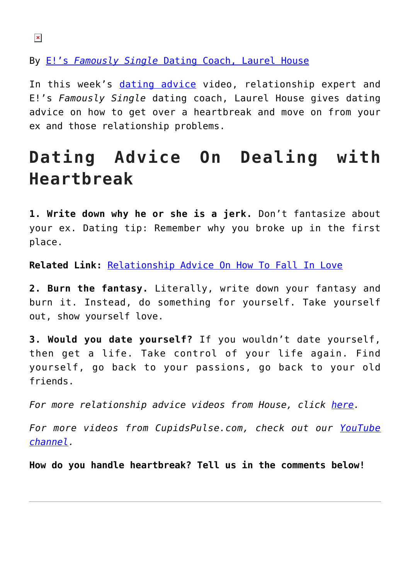$\pmb{\times}$ 

By [E!'s](http://cupidspulse.com/relationship-dating-experts/laurel-house-no-games-love-dating-mentor/) *[Famously Single](http://cupidspulse.com/relationship-dating-experts/laurel-house-no-games-love-dating-mentor/)* [Dating Coach, Laurel House](http://cupidspulse.com/relationship-dating-experts/laurel-house-no-games-love-dating-mentor/)

In this week's [dating advice](http://cupidspulse.com/dating/date-ideas/) video, relationship expert and E!'s *Famously Single* dating coach, Laurel House gives dating advice on how to get over a heartbreak and move on from your ex and those relationship problems.

### **Dating Advice On Dealing with Heartbreak**

**1. Write down why he or she is a jerk.** Don't fantasize about your ex. Dating tip: Remember why you broke up in the first place.

**Related Link:** [Relationship Advice On How To Fall In Love](http://cupidspulse.com/101388/relationship-advice-fall-in-love/)

**2. Burn the fantasy.** Literally, write down your fantasy and burn it. Instead, do something for yourself. Take yourself out, show yourself love.

**3. Would you date yourself?** If you wouldn't date yourself, then get a life. Take control of your life again. Find yourself, go back to your passions, go back to your old friends.

*For more relationship advice videos from House, click [here.](http://cupidspulse.com/relationship-dating-experts/laurel-house-no-games-love-dating-mentor/)*

*For more videos from CupidsPulse.com, check out our [YouTube](https://www.youtube.com/user/CupidsPulse) [channel](https://www.youtube.com/user/CupidsPulse).*

**How do you handle heartbreak? Tell us in the comments below!**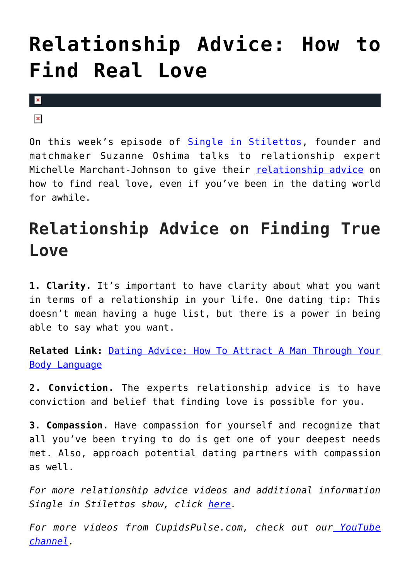## **[Relationship Advice: How to](https://cupidspulse.com/108394/relationship-advice-find-real-love/) [Find Real Love](https://cupidspulse.com/108394/relationship-advice-find-real-love/)**

 $\mathbf x$ 

 $\pmb{\times}$ 

On this week's episode of **Single in Stilettos**, founder and matchmaker Suzanne Oshima talks to relationship expert Michelle Marchant-Johnson to give their [relationship advice](http://cupidspulse.com/dating/date-ideas/) on how to find real love, even if you've been in the dating world for awhile.

## **Relationship Advice on Finding True Love**

**1. Clarity.** It's important to have clarity about what you want in terms of a relationship in your life. One dating tip: This doesn't mean having a huge list, but there is a power in being able to say what you want.

**Related Link:** [Dating Advice: How To Attract A Man Through Your](http://cupidspulse.com/108201/dating-advice-single-in-stilettos-body-language/) [Body Language](http://cupidspulse.com/108201/dating-advice-single-in-stilettos-body-language/)

**2. Conviction.** The experts relationship advice is to have conviction and belief that finding love is possible for you.

**3. Compassion.** Have compassion for yourself and recognize that all you've been trying to do is get one of your deepest needs met. Also, approach potential dating partners with compassion as well.

*For more relationship advice videos and additional information Single in Stilettos show, click [here](http://cupidspulse.com/single-in-stilettos-shows/).*

*For more videos from CupidsPulse.com, check out our [YouTube](https://www.youtube.com/watch?v=3-5zn0Vbqk4) [channel](https://www.youtube.com/watch?v=3-5zn0Vbqk4).*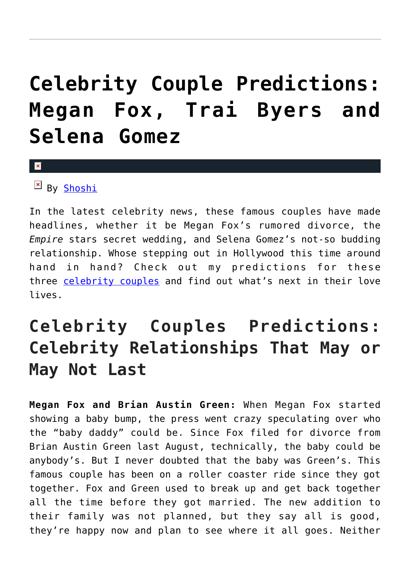## **[Celebrity Couple Predictions:](https://cupidspulse.com/108360/celebrity-couple-predictions-megan-fox-trai-byers-selena-gomez/) [Megan Fox, Trai Byers and](https://cupidspulse.com/108360/celebrity-couple-predictions-megan-fox-trai-byers-selena-gomez/) [Selena Gomez](https://cupidspulse.com/108360/celebrity-couple-predictions-megan-fox-trai-byers-selena-gomez/)**



By [Shoshi](https://about.me/yolandashoshana)

In the latest celebrity news, these famous couples have made headlines, whether it be Megan Fox's rumored divorce, the *Empire* stars secret wedding, and Selena Gomez's not-so budding relationship. Whose stepping out in Hollywood this time around hand in hand? Check out my predictions for these three [celebrity couples](http://cupidspulse.com/celebrity-relationships/long-term-relationships-flings/) and find out what's next in their love lives.

## **Celebrity Couples Predictions: Celebrity Relationships That May or May Not Last**

**Megan Fox and Brian Austin Green:** When Megan Fox started showing a baby bump, the press went crazy speculating over who the "baby daddy" could be. Since Fox filed for divorce from Brian Austin Green last August, technically, the baby could be anybody's. But I never doubted that the baby was Green's. This famous couple has been on a roller coaster ride since they got together. Fox and Green used to break up and get back together all the time before they got married. The new addition to their family was not planned, but they say all is good, they're happy now and plan to see where it all goes. Neither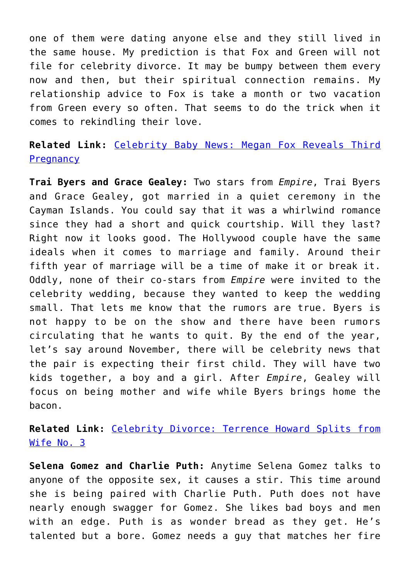one of them were dating anyone else and they still lived in the same house. My prediction is that Fox and Green will not file for celebrity divorce. It may be bumpy between them every now and then, but their spiritual connection remains. My relationship advice to Fox is take a month or two vacation from Green every so often. That seems to do the trick when it comes to rekindling their love.

**Related Link:** [Celebrity Baby News: Megan Fox Reveals Third](http://cupidspulse.com/108092/celebrity-baby-news-megan-fox-reveals-third-pregnancy/) **[Pregnancy](http://cupidspulse.com/108092/celebrity-baby-news-megan-fox-reveals-third-pregnancy/)** 

**Trai Byers and Grace Gealey:** Two stars from *Empire*, Trai Byers and Grace Gealey, got married in a quiet ceremony in the Cayman Islands. You could say that it was a whirlwind romance since they had a short and quick courtship. Will they last? Right now it looks good. The Hollywood couple have the same ideals when it comes to marriage and family. Around their fifth year of marriage will be a time of make it or break it. Oddly, none of their co-stars from *Empire* were invited to the celebrity wedding, because they wanted to keep the wedding small. That lets me know that the rumors are true. Byers is not happy to be on the show and there have been rumors circulating that he wants to quit. By the end of the year, let's say around November, there will be celebrity news that the pair is expecting their first child. They will have two kids together, a boy and a girl. After *Empire*, Gealey will focus on being mother and wife while Byers brings home the bacon.

**Related Link:** [Celebrity Divorce: Terrence Howard Splits from](http://cupidspulse.com/99198/celebrity-divorce-terrence-howard-third-wife/) [Wife No. 3](http://cupidspulse.com/99198/celebrity-divorce-terrence-howard-third-wife/)

**Selena Gomez and Charlie Puth:** Anytime Selena Gomez talks to anyone of the opposite sex, it causes a stir. This time around she is being paired with Charlie Puth. Puth does not have nearly enough swagger for Gomez. She likes bad boys and men with an edge. Puth is as wonder bread as they get. He's talented but a bore. Gomez needs a guy that matches her fire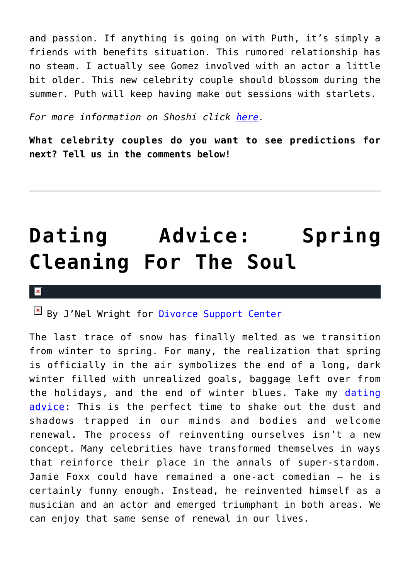and passion. If anything is going on with Puth, it's simply a friends with benefits situation. This rumored relationship has no steam. I actually see Gomez involved with an actor a little bit older. This new celebrity couple should blossom during the summer. Puth will keep having make out sessions with starlets.

*For more information on Shoshi click [here.](http://cupidspulse.com/relationship-dating-experts/yolanda-shoshana-shoshi-lifestyle-provocateur/)*

**What celebrity couples do you want to see predictions for next? Tell us in the comments below!**

# **[Dating Advice: Spring](https://cupidspulse.com/108354/dating-advice-spring-cleaning/) [Cleaning For The Soul](https://cupidspulse.com/108354/dating-advice-spring-cleaning/)**

#### $\mathbf x$

 $B$  By J'Nel Wright for [Divorce Support Center](http://www.divorcesupportcenter.com/)

The last trace of snow has finally melted as we transition from winter to spring. For many, the realization that spring is officially in the air symbolizes the end of a long, dark winter filled with unrealized goals, baggage left over from the holidays, and the end of winter blues. Take my [dating](http://cupidspulse.com/dating/date-ideas/) [advice](http://cupidspulse.com/dating/date-ideas/): This is the perfect time to shake out the dust and shadows trapped in our minds and bodies and welcome renewal. The process of reinventing ourselves isn't a new concept. Many celebrities have transformed themselves in ways that reinforce their place in the annals of super-stardom. Jamie Foxx could have remained a one-act comedian — he is certainly funny enough. Instead, he reinvented himself as a musician and an actor and emerged triumphant in both areas. We can enjoy that same sense of renewal in our lives.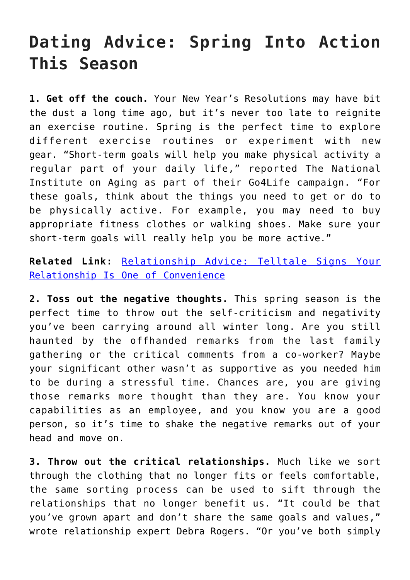### **Dating Advice: Spring Into Action This Season**

**1. Get off the couch.** Your New Year's Resolutions may have bit the dust a long time ago, but it's never too late to reignite an exercise routine. Spring is the perfect time to explore different exercise routines or experiment with new gear. "Short-term goals will help you make physical activity a regular part of your daily life," reported The National Institute on Aging as part of their Go4Life campaign. "For these goals, think about the things you need to get or do to be physically active. For example, you may need to buy appropriate fitness clothes or walking shoes. Make sure your short-term goals will really help you be more active."

**Related Link:** [Relationship Advice: Telltale Signs Your](http://cupidspulse.com/107665/relationship-advice-convenient-relationship/) [Relationship Is One of Convenience](http://cupidspulse.com/107665/relationship-advice-convenient-relationship/)

**2. Toss out the negative thoughts.** This spring season is the perfect time to throw out the self-criticism and negativity you've been carrying around all winter long. Are you still haunted by the offhanded remarks from the last family gathering or the critical comments from a co-worker? Maybe your significant other wasn't as supportive as you needed him to be during a stressful time. Chances are, you are giving those remarks more thought than they are. You know your capabilities as an employee, and you know you are a good person, so it's time to shake the negative remarks out of your head and move on.

**3. Throw out the critical relationships.** Much like we sort through the clothing that no longer fits or feels comfortable, the same sorting process can be used to sift through the relationships that no longer benefit us. "It could be that you've grown apart and don't share the same goals and values," wrote relationship expert Debra Rogers. "Or you've both simply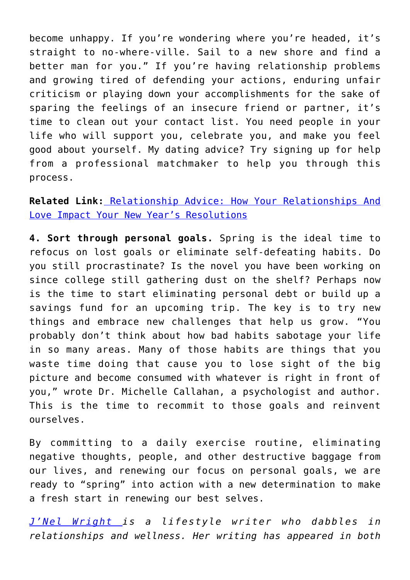become unhappy. If you're wondering where you're headed, it's straight to no-where-ville. Sail to a new shore and find a better man for you." If you're having relationship problems and growing tired of defending your actions, enduring unfair criticism or playing down your accomplishments for the sake of sparing the feelings of an insecure friend or partner, it's time to clean out your contact list. You need people in your life who will support you, celebrate you, and make you feel good about yourself. My dating advice? Try signing up for help from a professional matchmaker to help you through this process.

**Related Link:** [Relationship Advice: How Your Relationships And](http://cupidspulse.com/104494/relationship-advice-relationships-and-love-new-years-resolutions/) [Love Impact Your New Year's Resolutions](http://cupidspulse.com/104494/relationship-advice-relationships-and-love-new-years-resolutions/)

**4. Sort through personal goals.** Spring is the ideal time to refocus on lost goals or eliminate self-defeating habits. Do you still procrastinate? Is the novel you have been working on since college still gathering dust on the shelf? Perhaps now is the time to start eliminating personal debt or build up a savings fund for an upcoming trip. The key is to try new things and embrace new challenges that help us grow. "You probably don't think about how bad habits sabotage your life in so many areas. Many of those habits are things that you waste time doing that cause you to lose sight of the big picture and become consumed with whatever is right in front of you," wrote Dr. Michelle Callahan, a psychologist and author. This is the time to recommit to those goals and reinvent ourselves.

By committing to a daily exercise routine, eliminating negative thoughts, people, and other destructive baggage from our lives, and renewing our focus on personal goals, we are ready to "spring" into action with a new determination to make a fresh start in renewing our best selves.

*[J'Nel Wright i](http://healthyliving.care/)s a lifestyle writer who dabbles in relationships and wellness. Her writing has appeared in both*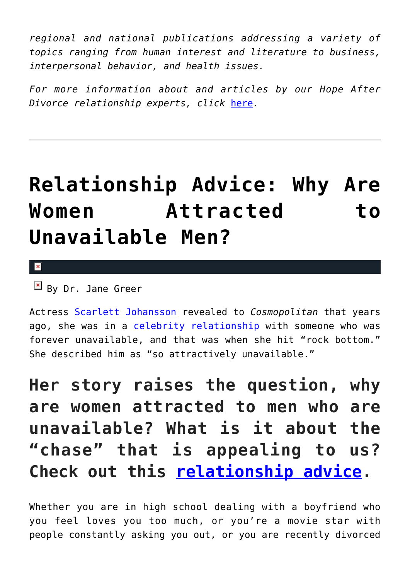*regional and national publications addressing a variety of topics ranging from human interest and literature to business, interpersonal behavior, and health issues.*

*For more information about and articles by our Hope After Divorce relationship experts, click* [here](http://cupidspulse.com/relationship-dating-experts/hope-after-divorce-relationship-experts/)*.*

# **[Relationship Advice: Why Are](https://cupidspulse.com/108339/relationship-advice-women-attracted-unavailable-men/) [Women Attracted to](https://cupidspulse.com/108339/relationship-advice-women-attracted-unavailable-men/) [Unavailable Men?](https://cupidspulse.com/108339/relationship-advice-women-attracted-unavailable-men/)**

 $\pmb{\times}$ 

 $\boxed{\times}$  By Dr. Jane Greer

Actress [Scarlett Johansson](http://cupidspulse.com/87706/scarlett-johansson/) revealed to *Cosmopolitan* that years ago, she was in a [celebrity relationship](http://cupidspulse.com/celebrity-relationships/) with someone who was forever unavailable, and that was when she hit "rock bottom." She described him as "so attractively unavailable."

**Her story raises the question, why are women attracted to men who are unavailable? What is it about the "chase" that is appealing to us? Check out this [relationship advice](http://cupidspulse.com/relationship-experts/).**

Whether you are in high school dealing with a boyfriend who you feel loves you too much, or you're a movie star with people constantly asking you out, or you are recently divorced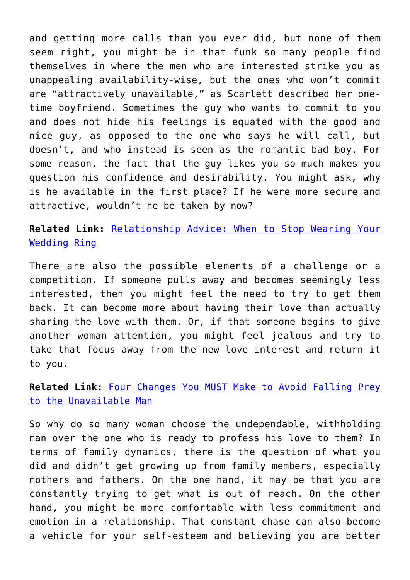and getting more calls than you ever did, but none of them seem right, you might be in that funk so many people find themselves in where the men who are interested strike you as unappealing availability-wise, but the ones who won't commit are "attractively unavailable," as Scarlett described her onetime boyfriend. Sometimes the guy who wants to commit to you and does not hide his feelings is equated with the good and nice guy, as opposed to the one who says he will call, but doesn't, and who instead is seen as the romantic bad boy. For some reason, the fact that the guy likes you so much makes you question his confidence and desirability. You might ask, why is he available in the first place? If he were more secure and attractive, wouldn't he be taken by now?

**Related Link:** [Relationship Advice: When to Stop Wearing Your](http://cupidspulse.com/100326/relationship-advice-when-stop-wearing-wedding-ring/) [Wedding Ring](http://cupidspulse.com/100326/relationship-advice-when-stop-wearing-wedding-ring/)

There are also the possible elements of a challenge or a competition. If someone pulls away and becomes seemingly less interested, then you might feel the need to try to get them back. It can become more about having their love than actually sharing the love with them. Or, if that someone begins to give another woman attention, you might feel jealous and try to take that focus away from the new love interest and return it to you.

**Related Link:** [Four Changes You MUST Make to Avoid Falling Prey](http://cupidspulse.com/83700/four-changes-unavailable-man/) [to the Unavailable Man](http://cupidspulse.com/83700/four-changes-unavailable-man/)

So why do so many woman choose the undependable, withholding man over the one who is ready to profess his love to them? In terms of family dynamics, there is the question of what you did and didn't get growing up from family members, especially mothers and fathers. On the one hand, it may be that you are constantly trying to get what is out of reach. On the other hand, you might be more comfortable with less commitment and emotion in a relationship. That constant chase can also become a vehicle for your self-esteem and believing you are better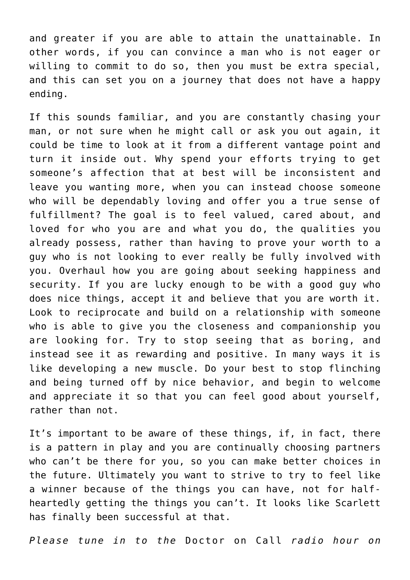and greater if you are able to attain the unattainable. In other words, if you can convince a man who is not eager or willing to commit to do so, then you must be extra special, and this can set you on a journey that does not have a happy ending.

If this sounds familiar, and you are constantly chasing your man, or not sure when he might call or ask you out again, it could be time to look at it from a different vantage point and turn it inside out. Why spend your efforts trying to get someone's affection that at best will be inconsistent and leave you wanting more, when you can instead choose someone who will be dependably loving and offer you a true sense of fulfillment? The goal is to feel valued, cared about, and loved for who you are and what you do, the qualities you already possess, rather than having to prove your worth to a guy who is not looking to ever really be fully involved with you. Overhaul how you are going about seeking happiness and security. If you are lucky enough to be with a good guy who does nice things, accept it and believe that you are worth it. Look to reciprocate and build on a relationship with someone who is able to give you the closeness and companionship you are looking for. Try to stop seeing that as boring, and instead see it as rewarding and positive. In many ways it is like developing a new muscle. Do your best to stop flinching and being turned off by nice behavior, and begin to welcome and appreciate it so that you can feel good about yourself, rather than not.

It's important to be aware of these things, if, in fact, there is a pattern in play and you are continually choosing partners who can't be there for you, so you can make better choices in the future. Ultimately you want to strive to try to feel like a winner because of the things you can have, not for halfheartedly getting the things you can't. It looks like Scarlett has finally been successful at that.

*Please tune in to the* Doctor on Call *radio hour on*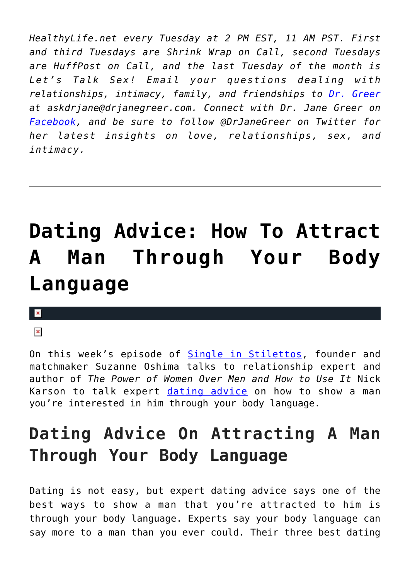*HealthyLife.net every Tuesday at 2 PM EST, 11 AM PST. First and third Tuesdays are Shrink Wrap on Call, second Tuesdays are HuffPost on Call, and the last Tuesday of the month is Let's Talk Sex! Email your questions dealing with relationships, intimacy, family, and friendships to [Dr. Greer](http://www.drjanegreer.com) at askdrjane@drjanegreer.com. Connect with Dr. Jane Greer on [Facebook,](http://www.facebook.com/DrJaneGreer) and be sure to follow @DrJaneGreer on Twitter for her latest insights on love, relationships, sex, and intimacy.* 

# **[Dating Advice: How To Attract](https://cupidspulse.com/108201/dating-advice-single-in-stilettos-body-language/) [A Man Through Your Body](https://cupidspulse.com/108201/dating-advice-single-in-stilettos-body-language/) [Language](https://cupidspulse.com/108201/dating-advice-single-in-stilettos-body-language/)**

#### $\pmb{\times}$

#### $\pmb{\times}$

On this week's episode of **Single in Stilettos**, founder and matchmaker Suzanne Oshima talks to relationship expert and author of *The Power of Women Over Men and How to Use It* Nick Karson to talk expert [dating advice](http://cupidspulse.com/dating/date-ideas/) on how to show a man you're interested in him through your body language.

### **Dating Advice On Attracting A Man Through Your Body Language**

Dating is not easy, but expert dating advice says one of the best ways to show a man that you're attracted to him is through your body language. Experts say your body language can say more to a man than you ever could. Their three best dating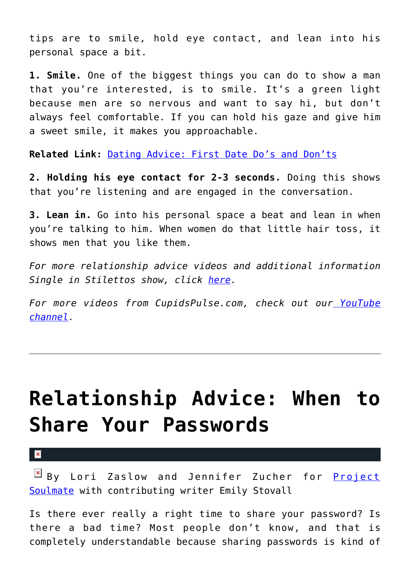tips are to smile, hold eye contact, and lean into his personal space a bit.

**1. Smile.** One of the biggest things you can do to show a man that you're interested, is to smile. It's a green light because men are so nervous and want to say hi, but don't always feel comfortable. If you can hold his gaze and give him a sweet smile, it makes you approachable.

**Related Link:** [Dating Advice: First Date Do's and Don'ts](http://cupidspulse.com/108140/dating-advice-first-date-tips-wendy-newman/)

**2. Holding his eye contact for 2-3 seconds.** Doing this shows that you're listening and are engaged in the conversation.

**3. Lean in.** Go into his personal space a beat and lean in when you're talking to him. When women do that little hair toss, it shows men that you like them.

*For more relationship advice videos and additional information Single in Stilettos show, click [here](http://cupidspulse.com/single-in-stilettos-shows/).*

*For more videos from CupidsPulse.com, check out our [YouTube](https://www.youtube.com/watch?v=3-5zn0Vbqk4) [channel](https://www.youtube.com/watch?v=3-5zn0Vbqk4).*

## **[Relationship Advice: When to](https://cupidspulse.com/108148/relationship-advice-sharing-passwords/) [Share Your Passwords](https://cupidspulse.com/108148/relationship-advice-sharing-passwords/)**

#### $\mathbf x$

By Lori Zaslow and Jennifer Zucher for [Project](http://www.projectsoulmate.com/) [Soulmate](http://www.projectsoulmate.com/) with contributing writer Emily Stovall

Is there ever really a right time to share your password? Is there a bad time? Most people don't know, and that is completely understandable because sharing passwords is kind of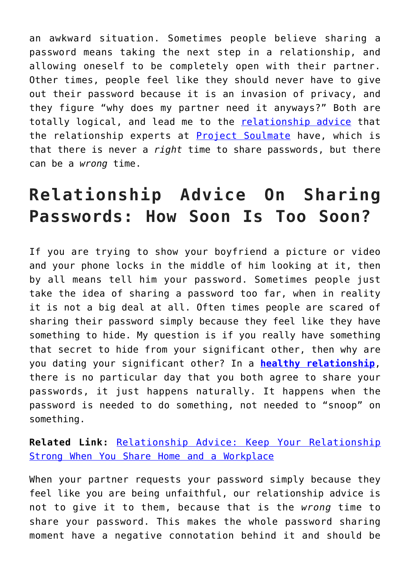an awkward situation. Sometimes people believe sharing a password means taking the next step in a relationship, and allowing oneself to be completely open with their partner. Other times, people feel like they should never have to give out their password because it is an invasion of privacy, and they figure "why does my partner need it anyways?" Both are totally logical, and lead me to the [relationship advice](http://cupidspulse.com/relationship-experts/) that the relationship experts at [Project Soulmate](http://www.projectsoulmate.com) have, which is that there is never a *right* time to share passwords, but there can be a *wrong* time.

### **Relationship Advice On Sharing Passwords: How Soon Is Too Soon?**

If you are trying to show your boyfriend a picture or video and your phone locks in the middle of him looking at it, then by all means tell him your password. Sometimes people just take the idea of sharing a password too far, when in reality it is not a big deal at all. Often times people are scared of sharing their password simply because they feel like they have something to hide. My question is if you really have something that secret to hide from your significant other, then why are you dating your significant other? In a **[healthy relationship](http://www.projectsoulmate.com/clients/)**, there is no particular day that you both agree to share your passwords, it just happens naturally. It happens when the password is needed to do something, not needed to "snoop" on something.

**Related Link:** [Relationship Advice: Keep Your Relationship](http://cupidspulse.com/106223/expert-relationship-advice-home-work/) [Strong When You Share Home and a Workplace](http://cupidspulse.com/106223/expert-relationship-advice-home-work/)

When your partner requests your password simply because they feel like you are being unfaithful, our relationship advice is not to give it to them, because that is the *wrong* time to share your password. This makes the whole password sharing moment have a negative connotation behind it and should be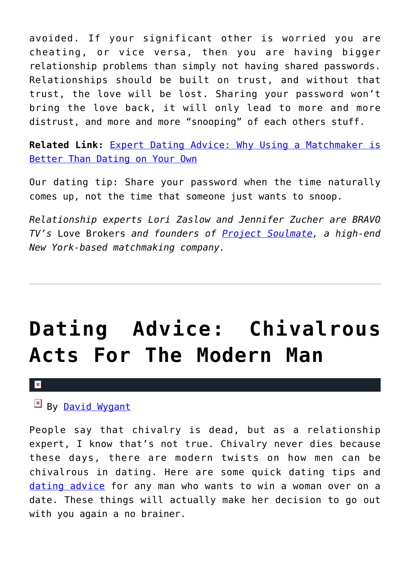avoided. If your significant other is worried you are cheating, or vice versa, then you are having bigger relationship problems than simply not having shared passwords. Relationships should be built on trust, and without that trust, the love will be lost. Sharing your password won't bring the love back, it will only lead to more and more distrust, and more and more "snooping" of each others stuff.

**Related Link:** [Expert Dating Advice: Why Using a Matchmaker is](http://cupidspulse.com/104631/expert-dating-advice-why-matchmaker-versus-dating-on-your-own/) [Better Than Dating on Your Own](http://cupidspulse.com/104631/expert-dating-advice-why-matchmaker-versus-dating-on-your-own/)

Our dating tip: Share your password when the time naturally comes up, not the time that someone just wants to snoop.

*Relationship experts Lori Zaslow and Jennifer Zucher are BRAVO TV's* Love Brokers *and founders of [Project Soulmate](http://cupidspulse.com/relationship-dating-experts/lori-zaslow-jennifer-zucher-project-soulmate/), a high-end New York-based matchmaking company.*

# **[Dating Advice: Chivalrous](https://cupidspulse.com/108139/dating-advice-chivalrous-acts/) [Acts For The Modern Man](https://cupidspulse.com/108139/dating-advice-chivalrous-acts/)**

#### $\vert \mathbf{x} \vert$

#### $By$  [David Wygant](http://cupidspulse.com/relationship-dating-experts/david-wygant-dating-coach/)

People say that chivalry is dead, but as a relationship expert, I know that's not true. Chivalry never dies because these days, there are modern twists on how men can be chivalrous in dating. Here are some quick dating tips and [dating advice](http://cupidspulse.com/dating/date-ideas/) for any man who wants to win a woman over on a date. These things will actually make her decision to go out with you again a no brainer.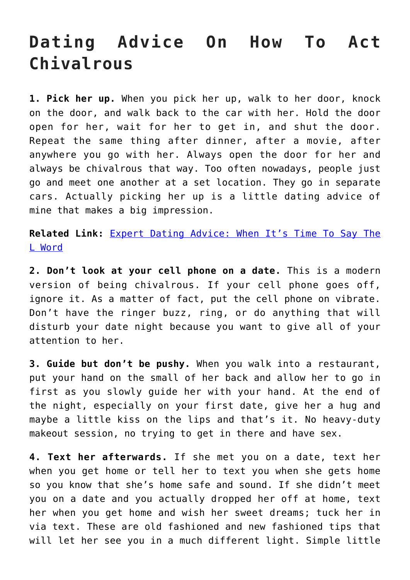### **Dating Advice On How To Act Chivalrous**

**1. Pick her up.** When you pick her up, walk to her door, knock on the door, and walk back to the car with her. Hold the door open for her, wait for her to get in, and shut the door. Repeat the same thing after dinner, after a movie, after anywhere you go with her. Always open the door for her and always be chivalrous that way. Too often nowadays, people just go and meet one another at a set location. They go in separate cars. Actually picking her up is a little dating advice of mine that makes a big impression.

**Related Link:** [Expert Dating Advice: When It's Time To Say The](http://cupidspulse.com/104522/expert-dating-advice-when-its-time-to-say-the-l-word/) [L Word](http://cupidspulse.com/104522/expert-dating-advice-when-its-time-to-say-the-l-word/)

**2. Don't look at your cell phone on a date.** This is a modern version of being chivalrous. If your cell phone goes off, ignore it. As a matter of fact, put the cell phone on vibrate. Don't have the ringer buzz, ring, or do anything that will disturb your date night because you want to give all of your attention to her.

**3. Guide but don't be pushy.** When you walk into a restaurant, put your hand on the small of her back and allow her to go in first as you slowly guide her with your hand. At the end of the night, especially on your first date, give her a hug and maybe a little kiss on the lips and that's it. No heavy-duty makeout session, no trying to get in there and have sex.

**4. Text her afterwards.** If she met you on a date, text her when you get home or tell her to text you when she gets home so you know that she's home safe and sound. If she didn't meet you on a date and you actually dropped her off at home, text her when you get home and wish her sweet dreams; tuck her in via text. These are old fashioned and new fashioned tips that will let her see you in a much different light. Simple little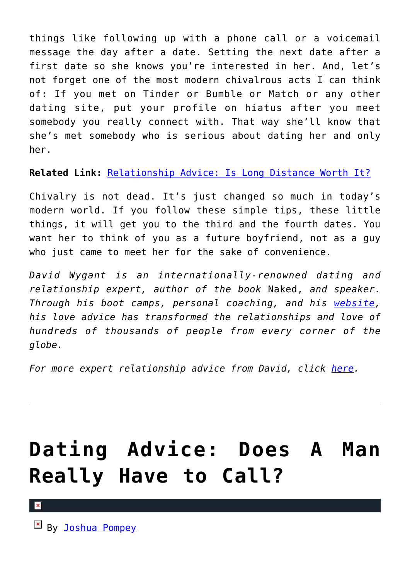things like following up with a phone call or a voicemail message the day after a date. Setting the next date after a first date so she knows you're interested in her. And, let's not forget one of the most modern chivalrous acts I can think of: If you met on Tinder or Bumble or Match or any other dating site, put your profile on hiatus after you meet somebody you really connect with. That way she'll know that she's met somebody who is serious about dating her and only her.

**Related Link:** [Relationship Advice: Is Long Distance Worth It?](http://cupidspulse.com/105767/relationship-advice-long-distance/)

Chivalry is not dead. It's just changed so much in today's modern world. If you follow these simple tips, these little things, it will get you to the third and the fourth dates. You want her to think of you as a future boyfriend, not as a guy who just came to meet her for the sake of convenience.

*David Wygant is an internationally-renowned dating and relationship expert, author of the book* Naked, *and speaker. Through his boot camps, personal coaching, and his [website,](http://www.davidwygant.com/) his love advice has transformed the relationships and love of hundreds of thousands of people from every corner of the globe.* 

*For more expert relationship advice from David, click [here.](http://cupidspulse.com/relationship-dating-experts/david-wygant-dating-coach/)* 

# **[Dating Advice: Does A Man](https://cupidspulse.com/107809/dating-advice-calling-after-dating/) [Really Have to Call?](https://cupidspulse.com/107809/dating-advice-calling-after-dating/)**

By [Joshua Pompey](http://cupidspulse.com/relationship-dating-experts/joshua-pompey/)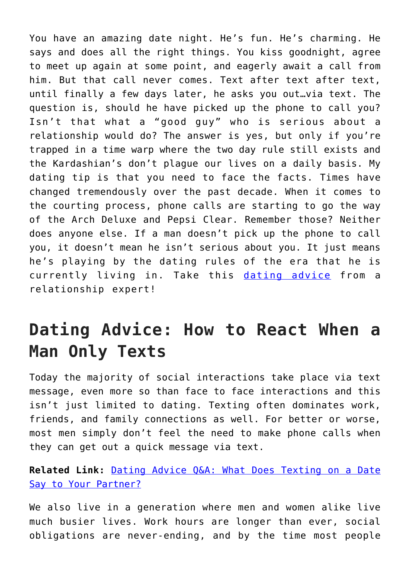You have an amazing date night. He's fun. He's charming. He says and does all the right things. You kiss goodnight, agree to meet up again at some point, and eagerly await a call from him. But that call never comes. Text after text after text, until finally a few days later, he asks you out…via text. The question is, should he have picked up the phone to call you? Isn't that what a "good guy" who is serious about a relationship would do? The answer is yes, but only if you're trapped in a time warp where the two day rule still exists and the Kardashian's don't plague our lives on a daily basis. My dating tip is that you need to face the facts. Times have changed tremendously over the past decade. When it comes to the courting process, phone calls are starting to go the way of the Arch Deluxe and Pepsi Clear. Remember those? Neither does anyone else. If a man doesn't pick up the phone to call you, it doesn't mean he isn't serious about you. It just means he's playing by the dating rules of the era that he is currently living in. Take this [dating advice](http://cupidspulse.com/dating/date-ideas/) from a relationship expert!

### **Dating Advice: How to React When a Man Only Texts**

Today the majority of social interactions take place via text message, even more so than face to face interactions and this isn't just limited to dating. Texting often dominates work, friends, and family connections as well. For better or worse, most men simply don't feel the need to make phone calls when they can get out a quick message via text.

#### **Related Link:** [Dating Advice Q&A: What Does Texting on a Date](http://cupidspulse.com/104310/dating-advice-qa-what-does-texting-on-a-date-say-to-your-partner/) [Say to Your Partner?](http://cupidspulse.com/104310/dating-advice-qa-what-does-texting-on-a-date-say-to-your-partner/)

We also live in a generation where men and women alike live much busier lives. Work hours are longer than ever, social obligations are never-ending, and by the time most people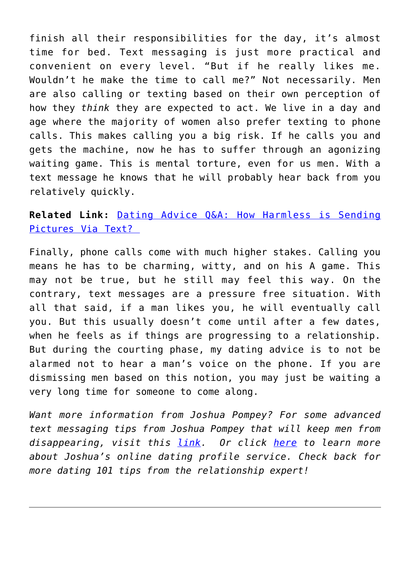finish all their responsibilities for the day, it's almost time for bed. Text messaging is just more practical and convenient on every level. "But if he really likes me. Wouldn't he make the time to call me?" Not necessarily. Men are also calling or texting based on their own perception of how they *think* they are expected to act. We live in a day and age where the majority of women also prefer texting to phone calls. This makes calling you a big risk. If he calls you and gets the machine, now he has to suffer through an agonizing waiting game. This is mental torture, even for us men. With a text message he knows that he will probably hear back from you relatively quickly.

#### **Related Link:** [Dating Advice Q&A: How Harmless is Sending](http://cupidspulse.com/102471/dating-advice-qa-how-harmless-is-sending-pictures-via-text/) [Pictures Via Text?](http://cupidspulse.com/102471/dating-advice-qa-how-harmless-is-sending-pictures-via-text/)

Finally, phone calls come with much higher stakes. Calling you means he has to be charming, witty, and on his A game. This may not be true, but he still may feel this way. On the contrary, text messages are a pressure free situation. With all that said, if a man likes you, he will eventually call you. But this usually doesn't come until after a few dates, when he feels as if things are progressing to a relationship. But during the courting phase, my dating advice is to not be alarmed not to hear a man's voice on the phone. If you are dismissing men based on this notion, you may just be waiting a very long time for someone to come along.

*Want more information from Joshua Pompey? For some advanced text messaging tips from Joshua Pompey that will keep men from disappearing, visit this [link.](http://www.nemvip.com/text-messaging-tips-bridging-the-gap) Or click [here](http://www.nemvip.com/online-dating-profile-writing-service-for-women) to learn more about Joshua's online dating profile service. Check back for more dating 101 tips from the relationship expert!*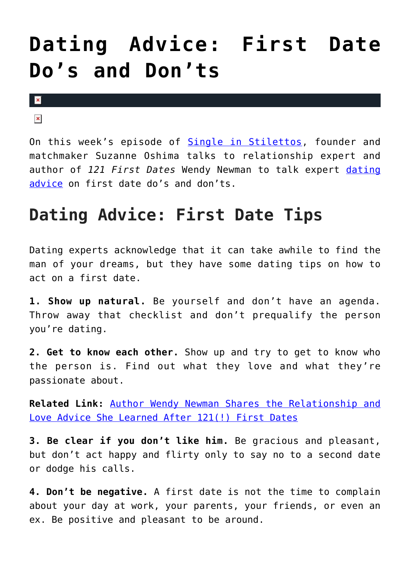## **[Dating Advice: First Date](https://cupidspulse.com/108140/dating-advice-first-date-tips-wendy-newman/) [Do's and Don'ts](https://cupidspulse.com/108140/dating-advice-first-date-tips-wendy-newman/)**

 $\vert \mathbf{x} \vert$ 

 $\pmb{\times}$ 

On this week's episode of **Single in Stilettos**, founder and matchmaker Suzanne Oshima talks to relationship expert and author of *121 First Dates* Wendy Newman to talk expert [dating](http://cupidspulse.com/dating/date-ideas/) [advice](http://cupidspulse.com/dating/date-ideas/) on first date do's and don'ts.

## **Dating Advice: First Date Tips**

Dating experts acknowledge that it can take awhile to find the man of your dreams, but they have some dating tips on how to act on a first date.

**1. Show up natural.** Be yourself and don't have an agenda. Throw away that checklist and don't prequalify the person you're dating.

**2. Get to know each other.** Show up and try to get to know who the person is. Find out what they love and what they're passionate about.

**Related Link:** [Author Wendy Newman Shares the Relationship and](http://cupidspulse.com/103264/relationship-and-love-advice-from-author-wendy-newman/) [Love Advice She Learned After 121\(!\) First Dates](http://cupidspulse.com/103264/relationship-and-love-advice-from-author-wendy-newman/)

**3. Be clear if you don't like him.** Be gracious and pleasant, but don't act happy and flirty only to say no to a second date or dodge his calls.

**4. Don't be negative.** A first date is not the time to complain about your day at work, your parents, your friends, or even an ex. Be positive and pleasant to be around.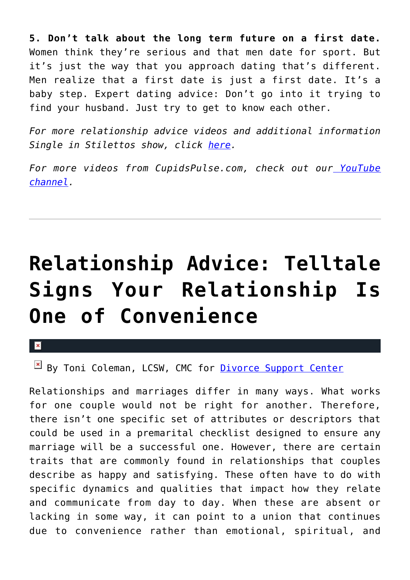**5. Don't talk about the long term future on a first date.** Women think they're serious and that men date for sport. But it's just the way that you approach dating that's different. Men realize that a first date is just a first date. It's a baby step. Expert dating advice: Don't go into it trying to find your husband. Just try to get to know each other.

*For more relationship advice videos and additional information Single in Stilettos show, click [here](http://cupidspulse.com/single-in-stilettos-shows/).*

*For more videos from CupidsPulse.com, check out our [YouTube](https://www.youtube.com/watch?v=3-5zn0Vbqk4) [channel](https://www.youtube.com/watch?v=3-5zn0Vbqk4).*

# **[Relationship Advice: Telltale](https://cupidspulse.com/107665/relationship-advice-convenient-relationship/) [Signs Your Relationship Is](https://cupidspulse.com/107665/relationship-advice-convenient-relationship/) [One of Convenience](https://cupidspulse.com/107665/relationship-advice-convenient-relationship/)**

 $\mathbf{x}$ 

By Toni Coleman, LCSW, CMC for *[Divorce Support Center](http://www.divorcesupportcenter.com/)* 

Relationships and marriages differ in many ways. What works for one couple would not be right for another. Therefore, there isn't one specific set of attributes or descriptors that could be used in a premarital checklist designed to ensure any marriage will be a successful one. However, there are certain traits that are commonly found in relationships that couples describe as happy and satisfying. These often have to do with specific dynamics and qualities that impact how they relate and communicate from day to day. When these are absent or lacking in some way, it can point to a union that continues due to convenience rather than emotional, spiritual, and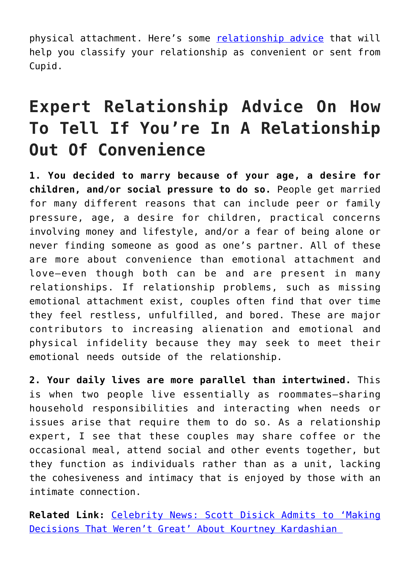physical attachment. Here's some [relationship advice](http://cupidspulse.com/relationship-experts/) that will help you classify your relationship as convenient or sent from Cupid.

## **Expert Relationship Advice On How To Tell If You're In A Relationship Out Of Convenience**

**1. You decided to marry because of your age, a desire for children, and/or social pressure to do so.** People get married for many different reasons that can include peer or family pressure, age, a desire for children, practical concerns involving money and lifestyle, and/or a fear of being alone or never finding someone as good as one's partner. All of these are more about convenience than emotional attachment and love—even though both can be and are present in many relationships. If relationship problems, such as missing emotional attachment exist, couples often find that over time they feel restless, unfulfilled, and bored. These are major contributors to increasing alienation and emotional and physical infidelity because they may seek to meet their emotional needs outside of the relationship.

**2. Your daily lives are more parallel than intertwined.** This is when two people live essentially as roommates—sharing household responsibilities and interacting when needs or issues arise that require them to do so. As a relationship expert, I see that these couples may share coffee or the occasional meal, attend social and other events together, but they function as individuals rather than as a unit, lacking the cohesiveness and intimacy that is enjoyed by those with an intimate connection.

**Related Link:** [Celebrity News: Scott Disick Admits to 'Making](http://cupidspulse.com/107584/celebrity-news-scott-disick-admits-bad-decisions-kourtney-kardashian/) Decisions That Weren't Great' About Kourtney Kardashian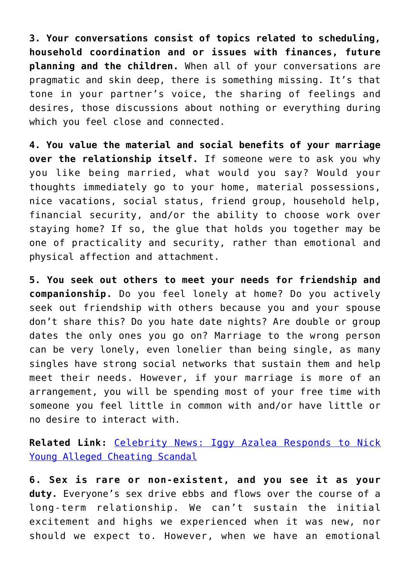**3. Your conversations consist of topics related to scheduling, household coordination and or issues with finances, future planning and the children.** When all of your conversations are pragmatic and skin deep, there is something missing. It's that tone in your partner's voice, the sharing of feelings and desires, those discussions about nothing or everything during which you feel close and connected.

**4. You value the material and social benefits of your marriage over the relationship itself.** If someone were to ask you why you like being married, what would you say? Would your thoughts immediately go to your home, material possessions, nice vacations, social status, friend group, household help, financial security, and/or the ability to choose work over staying home? If so, the glue that holds you together may be one of practicality and security, rather than emotional and physical affection and attachment.

**5. You seek out others to meet your needs for friendship and companionship.** Do you feel lonely at home? Do you actively seek out friendship with others because you and your spouse don't share this? Do you hate date nights? Are double or group dates the only ones you go on? Marriage to the wrong person can be very lonely, even lonelier than being single, as many singles have strong social networks that sustain them and help meet their needs. However, if your marriage is more of an arrangement, you will be spending most of your free time with someone you feel little in common with and/or have little or no desire to interact with.

**Related Link:** [Celebrity News: Iggy Azalea Responds to Nick](http://cupidspulse.com/107518/celebrity-news-iggy-azalea-responds-nick-young-cheating-scandal/) [Young Alleged Cheating Scandal](http://cupidspulse.com/107518/celebrity-news-iggy-azalea-responds-nick-young-cheating-scandal/)

**6. Sex is rare or non-existent, and you see it as your duty.** Everyone's sex drive ebbs and flows over the course of a long-term relationship. We can't sustain the initial excitement and highs we experienced when it was new, nor should we expect to. However, when we have an emotional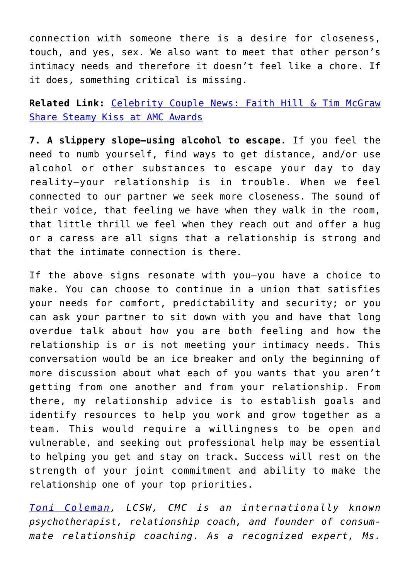connection with someone there is a desire for closeness, touch, and yes, sex. We also want to meet that other person's intimacy needs and therefore it doesn't feel like a chore. If it does, something critical is missing.

**Related Link:** [Celebrity Couple News: Faith Hill & Tim McGraw](http://cupidspulse.com/107608/celebrity-couple-faith-hill-tim-mcgraw-steamy-kiss-amc-awards/) [Share Steamy Kiss at AMC Awards](http://cupidspulse.com/107608/celebrity-couple-faith-hill-tim-mcgraw-steamy-kiss-amc-awards/)

**7. A slippery slope—using alcohol to escape.** If you feel the need to numb yourself, find ways to get distance, and/or use alcohol or other substances to escape your day to day reality—your relationship is in trouble. When we feel connected to our partner we seek more closeness. The sound of their voice, that feeling we have when they walk in the room, that little thrill we feel when they reach out and offer a hug or a caress are all signs that a relationship is strong and that the intimate connection is there.

If the above signs resonate with you—you have a choice to make. You can choose to continue in a union that satisfies your needs for comfort, predictability and security; or you can ask your partner to sit down with you and have that long overdue talk about how you are both feeling and how the relationship is or is not meeting your intimacy needs. This conversation would be an ice breaker and only the beginning of more discussion about what each of you wants that you aren't getting from one another and from your relationship. From there, my relationship advice is to establish goals and identify resources to help you work and grow together as a team. This would require a willingness to be open and vulnerable, and seeking out professional help may be essential to helping you get and stay on track. Success will rest on the strength of your joint commitment and ability to make the relationship one of your top priorities.

*[Toni Coleman](http://www.consum-mate.com/index.php), LCSW, CMC is an internationally known psychotherapist, relationship coach, and founder of consummate relationship coaching. As a recognized expert, Ms.*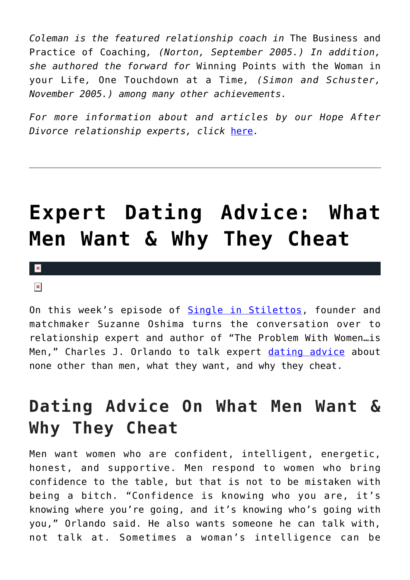*Coleman is the featured relationship coach in* The Business and Practice of Coaching*, (Norton, September 2005.) In addition, she authored the forward for* Winning Points with the Woman in your Life*,* One Touchdown at a Time*, (Simon and Schuster, November 2005.) among many other achievements.*

*For more information about and articles by our Hope After Divorce relationship experts, click* [here](http://cupidspulse.com/relationship-dating-experts/hope-after-divorce-relationship-experts/)*.*

## **[Expert Dating Advice: What](https://cupidspulse.com/107535/dating-advice-why-men-cheat/) [Men Want & Why They Cheat](https://cupidspulse.com/107535/dating-advice-why-men-cheat/)**

x

 $\pmb{\times}$ 

On this week's episode of **Single in Stilettos**, founder and matchmaker Suzanne Oshima turns the conversation over to relationship expert and author of "The Problem With Women…is Men," Charles J. Orlando to talk expert [dating advice](http://cupidspulse.com/dating/date-ideas/) about none other than men, what they want, and why they cheat.

## **Dating Advice On What Men Want & Why They Cheat**

Men want women who are confident, intelligent, energetic, honest, and supportive. Men respond to women who bring confidence to the table, but that is not to be mistaken with being a bitch. "Confidence is knowing who you are, it's knowing where you're going, and it's knowing who's going with you," Orlando said. He also wants someone he can talk with, not talk at. Sometimes a woman's intelligence can be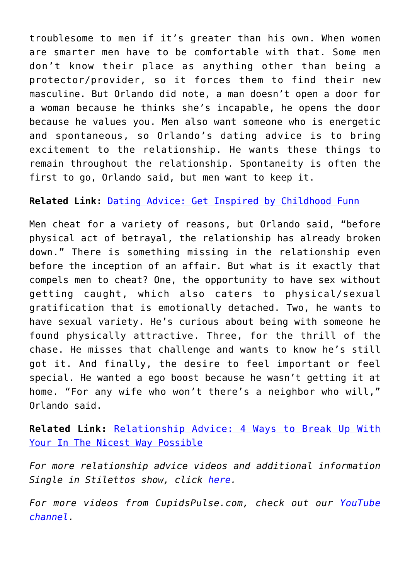troublesome to men if it's greater than his own. When women are smarter men have to be comfortable with that. Some men don't know their place as anything other than being a protector/provider, so it forces them to find their new masculine. But Orlando did note, a man doesn't open a door for a woman because he thinks she's incapable, he opens the door because he values you. Men also want someone who is energetic and spontaneous, so Orlando's dating advice is to bring excitement to the relationship. He wants these things to remain throughout the relationship. Spontaneity is often the first to go, Orlando said, but men want to keep it.

#### **Related Link:** [Dating Advice: Get Inspired by Childhood Fun](http://cupidspulse.com/105775/dating-advice-inspired-childhood-fun/)[n](http://cupidspulse.com/107398/relationship-advice-meeting-men/)

Men cheat for a variety of reasons, but Orlando said, "before physical act of betrayal, the relationship has already broken down." There is something missing in the relationship even before the inception of an affair. But what is it exactly that compels men to cheat? One, the opportunity to have sex without getting caught, which also caters to physical/sexual gratification that is emotionally detached. Two, he wants to have sexual variety. He's curious about being with someone he found physically attractive. Three, for the thrill of the chase. He misses that challenge and wants to know he's still got it. And finally, the desire to feel important or feel special. He wanted a ego boost because he wasn't getting it at home. "For any wife who won't there's a neighbor who will," Orlando said.

**Related Link:** [Relationship Advice: 4 Ways to Break Up With](http://cupidspulse.com/107127/relationship-advice-how-to-break-up/) [Your In The Nicest Way Possible](http://cupidspulse.com/107127/relationship-advice-how-to-break-up/)

*For more relationship advice videos and additional information Single in Stilettos show, click [here](http://cupidspulse.com/single-in-stilettos-shows/).*

*For more videos from CupidsPulse.com, check out our [YouTube](https://www.youtube.com/watch?v=3-5zn0Vbqk4) [channel](https://www.youtube.com/watch?v=3-5zn0Vbqk4).*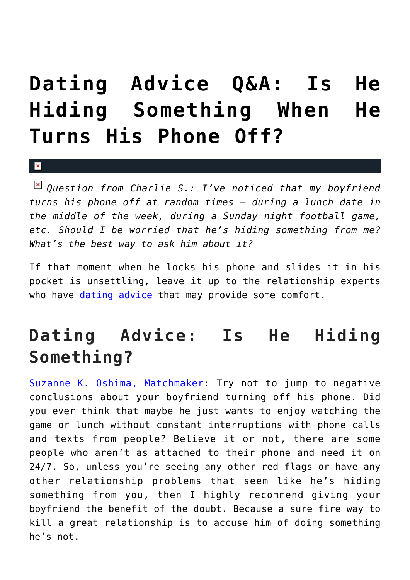## **[Dating Advice Q&A: Is He](https://cupidspulse.com/107433/dating-advice-technology-phones/) [Hiding Something When He](https://cupidspulse.com/107433/dating-advice-technology-phones/) [Turns His Phone Off?](https://cupidspulse.com/107433/dating-advice-technology-phones/)**

x

*Question from Charlie S.: I've noticed that my boyfriend turns his phone off at random times — during a lunch date in the middle of the week, during a Sunday night football game, etc. Should I be worried that he's hiding something from me? What's the best way to ask him about it?*

If that moment when he locks his phone and slides it in his pocket is unsettling, leave it up to the relationship experts who have [dating advice](http://cupidspulse.com/dating/date-ideas/) that may provide some comfort.

## **Dating Advice: Is He Hiding Something?**

[Suzanne K. Oshima, Matchmaker](http://www.dreambachelor.com/): Try not to jump to negative conclusions about your boyfriend turning off his phone. Did you ever think that maybe he just wants to enjoy watching the game or lunch without constant interruptions with phone calls and texts from people? Believe it or not, there are some people who aren't as attached to their phone and need it on 24/7. So, unless you're seeing any other red flags or have any other relationship problems that seem like he's hiding something from you, then I highly recommend giving your boyfriend the benefit of the doubt. Because a sure fire way to kill a great relationship is to accuse him of doing something he's not.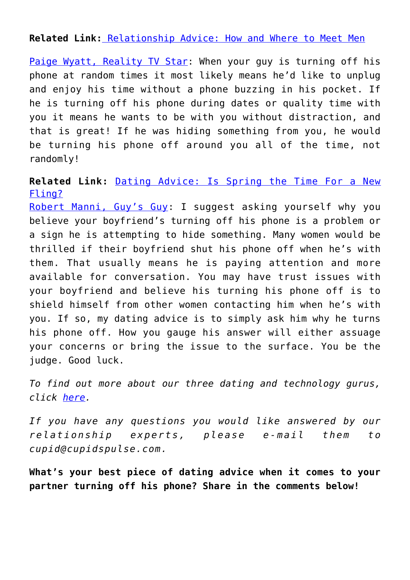**Related Link[:](http://cupidspulse.com/107398/relationship-advice-meeting-men/)** [Relationship Advice: How and Where to Meet Men](http://cupidspulse.com/107398/relationship-advice-meeting-men/)

[Paige Wyatt, Reality TV Star:](https://www.facebook.com/Paige-American-Guns-282001538494385/) When your guy is turning off his phone at random times it most likely means he'd like to unplug and enjoy his time without a phone buzzing in his pocket. If he is turning off his phone during dates or quality time with you it means he wants to be with you without distraction, and that is great! If he was hiding something from you, he would be turning his phone off around you all of the time, not randomly!

#### **Related Link:** [Dating Advice: Is Spring the Time For a New](http://cupidspulse.com/107137/dating-advice-spring-time-for-fling/) [Fling?](http://cupidspulse.com/107137/dating-advice-spring-time-for-fling/)

[Robert Manni, Guy's Guy](http://www.robertmanni.com/): I suggest asking yourself why you believe your boyfriend's turning off his phone is a problem or a sign he is attempting to hide something. Many women would be thrilled if their boyfriend shut his phone off when he's with them. That usually means he is paying attention and more available for conversation. You may have trust issues with your boyfriend and believe his turning his phone off is to shield himself from other women contacting him when he's with you. If so, my dating advice is to simply ask him why he turns his phone off. How you gauge his answer will either assuage your concerns or bring the issue to the surface. You be the judge. Good luck.

*To find out more about our three dating and technology gurus, click [here.](http://cupidspulse.com/relationship-dating-experts/oshima-wyatt-manni-technology-experts/)*

*If you have any questions you would like answered by our relationship experts, please e-mail them to cupid@cupidspulse.com.*

**What's your best piece of dating advice when it comes to your partner turning off his phone? Share in the comments below!**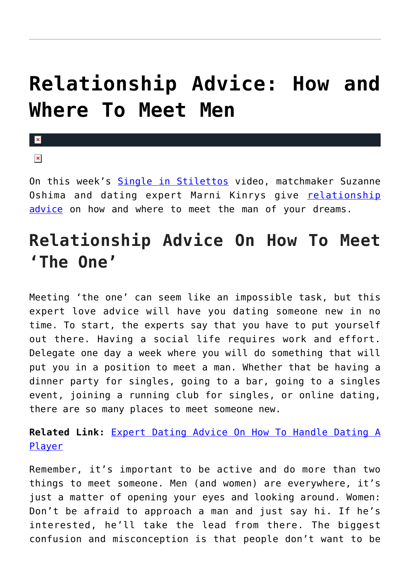## **[Relationship Advice: How and](https://cupidspulse.com/107398/relationship-advice-meeting-men/) [Where To Meet Men](https://cupidspulse.com/107398/relationship-advice-meeting-men/)**

#### $\overline{\mathbf{x}}$

#### $\pmb{\times}$

On this week's **[Single in Stilettos](http://www.singleinstilettos.com/)** video, matchmaker Suzanne Oshima and dating expert Marni Kinrys give [relationship](http://cupidspulse.com/relationship-experts/) [advice](http://cupidspulse.com/relationship-experts/) on how and where to meet the man of your dreams.

### **Relationship Advice On How To Meet 'The One'**

Meeting 'the one' can seem like an impossible task, but this expert love advice will have you dating someone new in no time. To start, the experts say that you have to put yourself out there. Having a social life requires work and effort. Delegate one day a week where you will do something that will put you in a position to meet a man. Whether that be having a dinner party for singles, going to a bar, going to a singles event, joining a running club for singles, or online dating, there are so many places to meet someone new.

**Related Link:** [Expert Dating Advice On How To Handle Dating A](http://cupidspulse.com/106720/expert-dating-advice-dating-player/) [Player](http://cupidspulse.com/106720/expert-dating-advice-dating-player/)

Remember, it's important to be active and do more than two things to meet someone. Men (and women) are everywhere, it's just a matter of opening your eyes and looking around. Women: Don't be afraid to approach a man and just say hi. If he's interested, he'll take the lead from there. The biggest confusion and misconception is that people don't want to be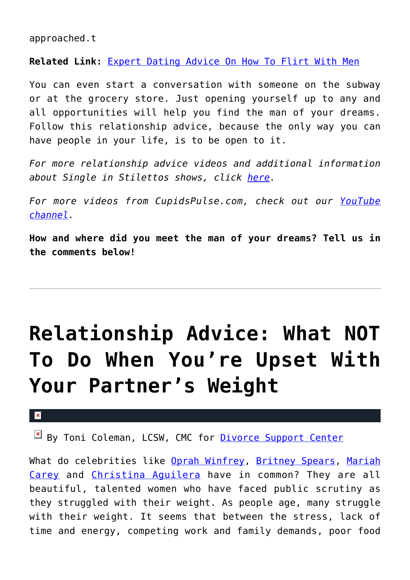approached.t

**Related Link:** [Expert Dating Advice On How To Flirt With Men](http://cupidspulse.com/105096/expert-dating-advice-how-to-flirt-with-men/)

You can even start a conversation with someone on the subway or at the grocery store. Just opening yourself up to any and all opportunities will help you find the man of your dreams. Follow this relationship advice, because the only way you can have people in your life, is to be open to it.

*For more relationship advice videos and additional information about Single in Stilettos shows, click [here.](http://cupidspulse.com/suzanne-oshima-single-in-stilettos-shows/)*

*For more videos from CupidsPulse.com, check out our [YouTube](https://www.youtube.com/user/CupidsPulse) [channel](https://www.youtube.com/user/CupidsPulse).*

**How and where did you meet the man of your dreams? Tell us in the comments below!**

# **[Relationship Advice: What NOT](https://cupidspulse.com/107083/relationship-advice-what-not-to-do-when-youre-upset-with-your-partners-weight/) [To Do When You're Upset With](https://cupidspulse.com/107083/relationship-advice-what-not-to-do-when-youre-upset-with-your-partners-weight/) [Your Partner's Weight](https://cupidspulse.com/107083/relationship-advice-what-not-to-do-when-youre-upset-with-your-partners-weight/)**

#### $\pmb{\times}$

By Toni Coleman, LCSW, CMC for *[Divorce Support Center](http://www.divorcesupportcenter.com/)* 

What do celebrities like [Oprah Winfrey](http://www.oprah.com/index.html), [Britney Spears,](http://cupidspulse.com/88127/britney-spears/) [Mariah](http://www.skinnyvscurvy.com/category/mariah-carey) [Carey](http://www.skinnyvscurvy.com/category/mariah-carey) and [Christina Aguilera](http://christinaaguilera.com/) have in common? They are all beautiful, talented women who have faced public scrutiny as they struggled with their weight. As people age, many struggle with their weight. It seems that between the stress, lack of time and energy, competing work and family demands, poor food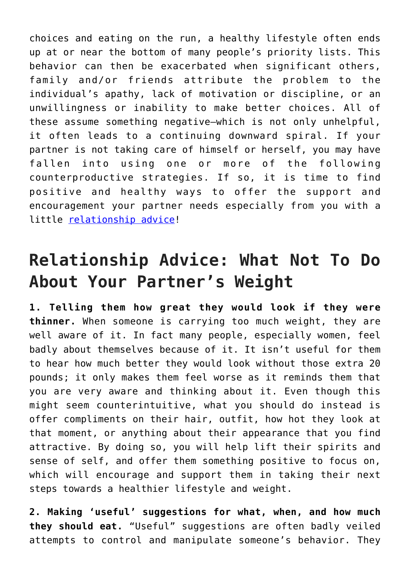choices and eating on the run, a healthy lifestyle often ends up at or near the bottom of many people's priority lists. This behavior can then be exacerbated when significant others, family and/or friends attribute the problem to the individual's apathy, lack of motivation or discipline, or an unwillingness or inability to make better choices. All of these assume something negative—which is not only unhelpful, it often leads to a continuing downward spiral. If your partner is not taking care of himself or herself, you may have fallen into using one or more of the following counterproductive strategies. If so, it is time to find positive and healthy ways to offer the support and encouragement your partner needs especially from you with a little [relationship advice!](http://cupidspulse.com/relationship-experts/)

### **Relationship Advice: What Not To Do About Your Partner's Weight**

**1. Telling them how great they would look if they were thinner.** When someone is carrying too much weight, they are well aware of it. In fact many people, especially women, feel badly about themselves because of it. It isn't useful for them to hear how much better they would look without those extra 20 pounds; it only makes them feel worse as it reminds them that you are very aware and thinking about it. Even though this might seem counterintuitive, what you should do instead is offer compliments on their hair, outfit, how hot they look at that moment, or anything about their appearance that you find attractive. By doing so, you will help lift their spirits and sense of self, and offer them something positive to focus on, which will encourage and support them in taking their next steps towards a healthier lifestyle and weight.

**2. Making 'useful' suggestions for what, when, and how much they should eat.** "Useful" suggestions are often badly veiled attempts to control and manipulate someone's behavior. They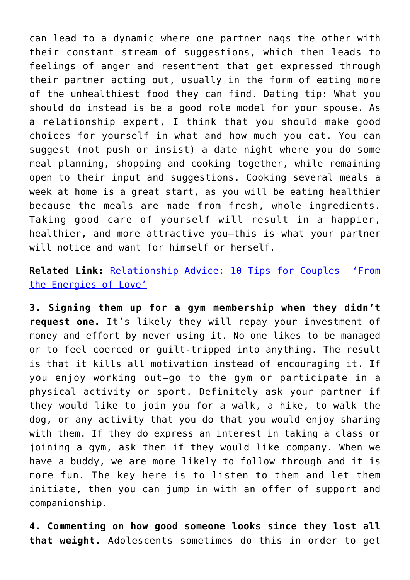can lead to a dynamic where one partner nags the other with their constant stream of suggestions, which then leads to feelings of anger and resentment that get expressed through their partner acting out, usually in the form of eating more of the unhealthiest food they can find. Dating tip: What you should do instead is be a good role model for your spouse. As a relationship expert, I think that you should make good choices for yourself in what and how much you eat. You can suggest (not push or insist) a date night where you do some meal planning, shopping and cooking together, while remaining open to their input and suggestions. Cooking several meals a week at home is a great start, as you will be eating healthier because the meals are made from fresh, whole ingredients. Taking good care of yourself will result in a happier, healthier, and more attractive you—this is what your partner will notice and want for himself or herself.

#### **Related Link:** [Relationship Advice: 10 Tips for Couples 'From](http://cupidspulse.com/107054/relationship-advice-10-tips-for-couples-from-the-energies-of-love/) [the Energies of Love'](http://cupidspulse.com/107054/relationship-advice-10-tips-for-couples-from-the-energies-of-love/)

**3. Signing them up for a gym membership when they didn't request one.** It's likely they will repay your investment of money and effort by never using it. No one likes to be managed or to feel coerced or guilt-tripped into anything. The result is that it kills all motivation instead of encouraging it. If you enjoy working out—go to the gym or participate in a physical activity or sport. Definitely ask your partner if they would like to join you for a walk, a hike, to walk the dog, or any activity that you do that you would enjoy sharing with them. If they do express an interest in taking a class or joining a gym, ask them if they would like company. When we have a buddy, we are more likely to follow through and it is more fun. The key here is to listen to them and let them initiate, then you can jump in with an offer of support and companionship.

**4. Commenting on how good someone looks since they lost all that weight.** Adolescents sometimes do this in order to get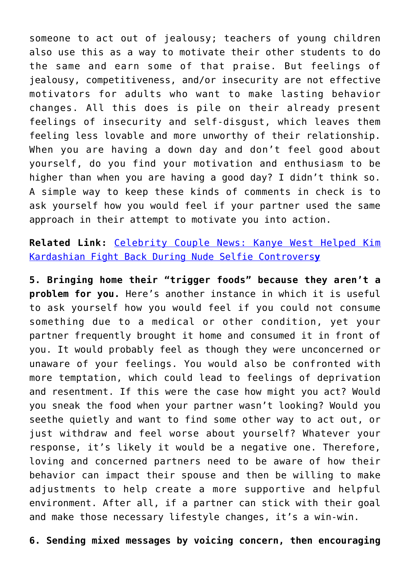someone to act out of jealousy; teachers of young children also use this as a way to motivate their other students to do the same and earn some of that praise. But feelings of jealousy, competitiveness, and/or insecurity are not effective motivators for adults who want to make lasting behavior changes. All this does is pile on their already present feelings of insecurity and self-disgust, which leaves them feeling less lovable and more unworthy of their relationship. When you are having a down day and don't feel good about yourself, do you find your motivation and enthusiasm to be higher than when you are having a good day? I didn't think so. A simple way to keep these kinds of comments in check is to ask yourself how you would feel if your partner used the same approach in their attempt to motivate you into action.

**Related Link:** [Celebrity Couple News: Kanye West Helped Kim](http://cupidspulse.com/106999/celebrity-couple-kanye-west-kim-kardashian-nude-selfie/) [Kardashian Fight Back During Nude Selfie Controvers](http://cupidspulse.com/106999/celebrity-couple-kanye-west-kim-kardashian-nude-selfie/)**[y](http://cupidspulse.com/106999/celebrity-couple-kanye-west-kim-kardashian-nude-selfie/)**

**5. Bringing home their "trigger foods" because they aren't a problem for you.** Here's another instance in which it is useful to ask yourself how you would feel if you could not consume something due to a medical or other condition, yet your partner frequently brought it home and consumed it in front of you. It would probably feel as though they were unconcerned or unaware of your feelings. You would also be confronted with more temptation, which could lead to feelings of deprivation and resentment. If this were the case how might you act? Would you sneak the food when your partner wasn't looking? Would you seethe quietly and want to find some other way to act out, or just withdraw and feel worse about yourself? Whatever your response, it's likely it would be a negative one. Therefore, loving and concerned partners need to be aware of how their behavior can impact their spouse and then be willing to make adjustments to help create a more supportive and helpful environment. After all, if a partner can stick with their goal and make those necessary lifestyle changes, it's a win-win.

**6. Sending mixed messages by voicing concern, then encouraging**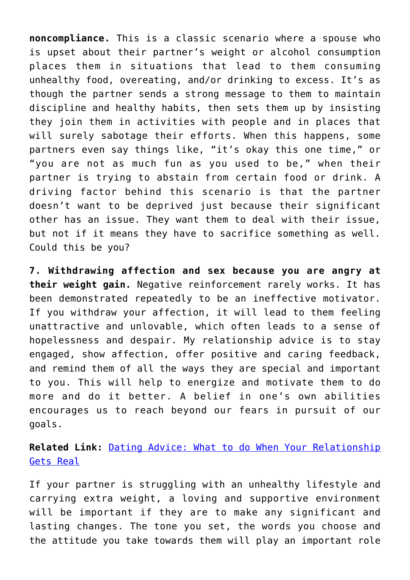**noncompliance.** This is a classic scenario where a spouse who is upset about their partner's weight or alcohol consumption places them in situations that lead to them consuming unhealthy food, overeating, and/or drinking to excess. It's as though the partner sends a strong message to them to maintain discipline and healthy habits, then sets them up by insisting they join them in activities with people and in places that will surely sabotage their efforts. When this happens, some partners even say things like, "it's okay this one time," or "you are not as much fun as you used to be," when their partner is trying to abstain from certain food or drink. A driving factor behind this scenario is that the partner doesn't want to be deprived just because their significant other has an issue. They want them to deal with their issue, but not if it means they have to sacrifice something as well. Could this be you?

**7. Withdrawing affection and sex because you are angry at their weight gain.** Negative reinforcement rarely works. It has been demonstrated repeatedly to be an ineffective motivator. If you withdraw your affection, it will lead to them feeling unattractive and unlovable, which often leads to a sense of hopelessness and despair. My relationship advice is to stay engaged, show affection, offer positive and caring feedback, and remind them of all the ways they are special and important to you. This will help to energize and motivate them to do more and do it better. A belief in one's own abilities encourages us to reach beyond our fears in pursuit of our goals.

**Related Link:** [Dating Advice: What to do When Your Relationship](http://cupidspulse.com/105787/dating-advice-relationship-gets-real/) [Gets Real](http://cupidspulse.com/105787/dating-advice-relationship-gets-real/)

If your partner is struggling with an unhealthy lifestyle and carrying extra weight, a loving and supportive environment will be important if they are to make any significant and lasting changes. The tone you set, the words you choose and the attitude you take towards them will play an important role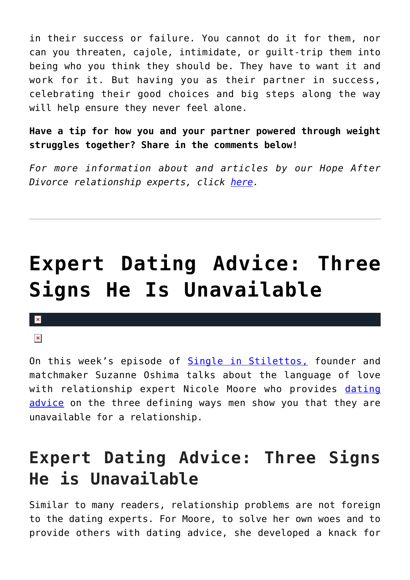in their success or failure. You cannot do it for them, nor can you threaten, cajole, intimidate, or guilt-trip them into being who you think they should be. They have to want it and work for it. But having you as their partner in success, celebrating their good choices and big steps along the way will help ensure they never feel alone.

**Have a tip for how you and your partner powered through weight struggles together? Share in the comments below!**

*For more information about and articles by our Hope After Divorce relationship experts, click [here.](http://cupidspulse.com/relationship-dating-experts/hope-after-divorce-relationship-experts/)*

# **[Expert Dating Advice: Three](https://cupidspulse.com/107074/expert-dating-advice-single-in-stilettos/) [Signs He Is Unavailable](https://cupidspulse.com/107074/expert-dating-advice-single-in-stilettos/)**

#### $\mathbf x$

 $\pmb{\times}$ 

On this week's episode of **Single in Stilettos**, founder and matchmaker Suzanne Oshima talks about the language of love with relationship expert Nicole Moore who provides [dating](http://cupidspulse.com/dating/date-ideas/) [advice](http://cupidspulse.com/dating/date-ideas/) on the three defining ways men show you that they are unavailable for a relationship.

## **Expert Dating Advice: Three Signs He is Unavailable**

Similar to many readers, relationship problems are not foreign to the dating experts. For Moore, to solve her own woes and to provide others with dating advice, she developed a knack for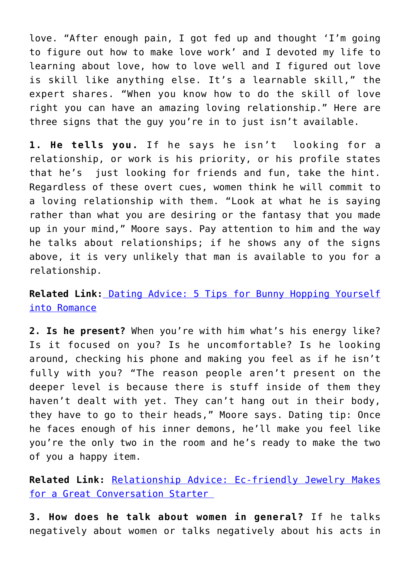love. "After enough pain, I got fed up and thought 'I'm going to figure out how to make love work' and I devoted my life to learning about love, how to love well and I figured out love is skill like anything else. It's a learnable skill," the expert shares. "When you know how to do the skill of love right you can have an amazing loving relationship." Here are three signs that the guy you're in to just isn't available.

**1. He tells you.** If he says he isn't looking for a relationship, or work is his priority, or his profile states that he's just looking for friends and fun, take the hint. Regardless of these overt cues, women think he will commit to a loving relationship with them. "Look at what he is saying rather than what you are desiring or the fantasy that you made up in your mind," Moore says. Pay attention to him and the way he talks about relationships; if he shows any of the signs above, it is very unlikely that man is available to you for a relationship.

#### **Related Link:** [Dating Advice: 5 Tips for Bunny Hopping Yourself](http://cupidspulse.com/107065/dating-advice-tips-bunny-hopping-into-romance/) [into Romance](http://cupidspulse.com/107065/dating-advice-tips-bunny-hopping-into-romance/)

**2. Is he present?** When you're with him what's his energy like? Is it focused on you? Is he uncomfortable? Is he looking around, checking his phone and making you feel as if he isn't fully with you? "The reason people aren't present on the deeper level is because there is stuff inside of them they haven't dealt with yet. They can't hang out in their body, they have to go to their heads," Moore says. Dating tip: Once he faces enough of his inner demons, he'll make you feel like you're the only two in the room and he's ready to make the two of you a happy item.

**Related Link:** [Relationship Advice: Ec-friendly Jewelry Makes](http://cupidspulse.com/106674/relationship-advice-eco-friendly-jewelry-makes-for-a-great-conversation-starter/) [for a Great Conversation Starter](http://cupidspulse.com/106674/relationship-advice-eco-friendly-jewelry-makes-for-a-great-conversation-starter/) 

**3. How does he talk about women in general?** If he talks negatively about women or talks negatively about his acts in